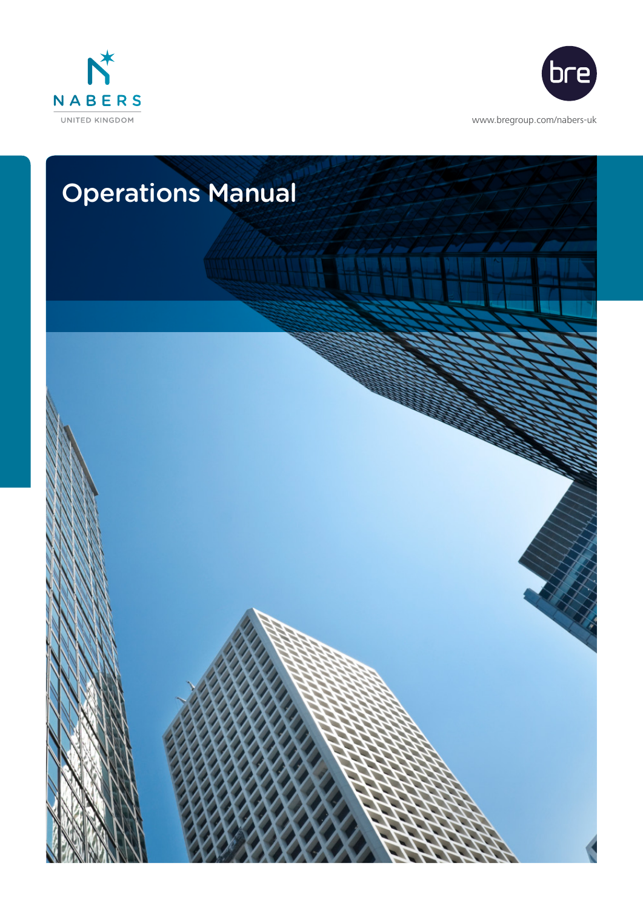



<www.bregroup.com/nabers-uk>

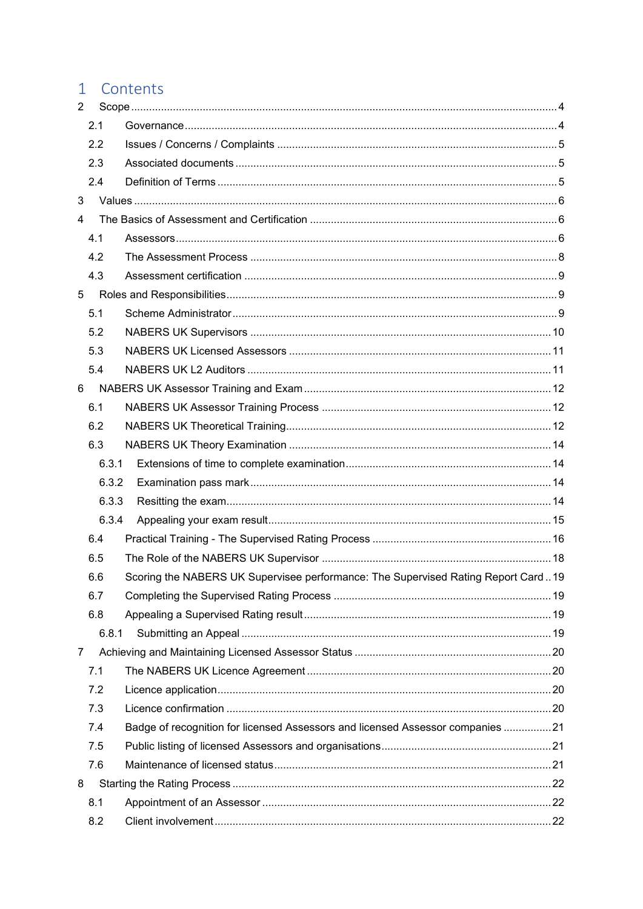# 1 Contents

| $\overline{2}$ |       |                                                                                   |  |
|----------------|-------|-----------------------------------------------------------------------------------|--|
|                | 2.1   |                                                                                   |  |
|                | 2.2   |                                                                                   |  |
|                | 2.3   |                                                                                   |  |
|                | 2.4   |                                                                                   |  |
| 3              |       |                                                                                   |  |
| $\overline{4}$ |       |                                                                                   |  |
|                | 4.1   |                                                                                   |  |
|                | 4.2   |                                                                                   |  |
|                | 4.3   |                                                                                   |  |
| 5              |       |                                                                                   |  |
|                | 5.1   |                                                                                   |  |
|                | 5.2   |                                                                                   |  |
|                | 5.3   |                                                                                   |  |
|                | 5.4   |                                                                                   |  |
| 6              |       |                                                                                   |  |
|                | 6.1   |                                                                                   |  |
|                | 6.2   |                                                                                   |  |
|                | 6.3   |                                                                                   |  |
|                | 6.3.1 |                                                                                   |  |
|                | 6.3.2 |                                                                                   |  |
|                | 6.3.3 |                                                                                   |  |
|                | 6.3.4 |                                                                                   |  |
|                | 6.4   |                                                                                   |  |
|                | 6.5   |                                                                                   |  |
|                | 6.6   | Scoring the NABERS UK Supervisee performance: The Supervised Rating Report Card19 |  |
|                | 6.7   |                                                                                   |  |
|                | 6.8   |                                                                                   |  |
|                | 6.8.1 |                                                                                   |  |
| 7              |       |                                                                                   |  |
|                | 7.1   |                                                                                   |  |
|                | 7.2   |                                                                                   |  |
|                | 7.3   |                                                                                   |  |
|                | 7.4   | Badge of recognition for licensed Assessors and licensed Assessor companies 21    |  |
|                | 7.5   |                                                                                   |  |
|                | 7.6   |                                                                                   |  |
| 8              |       |                                                                                   |  |
|                | 8.1   |                                                                                   |  |
|                | 8.2   |                                                                                   |  |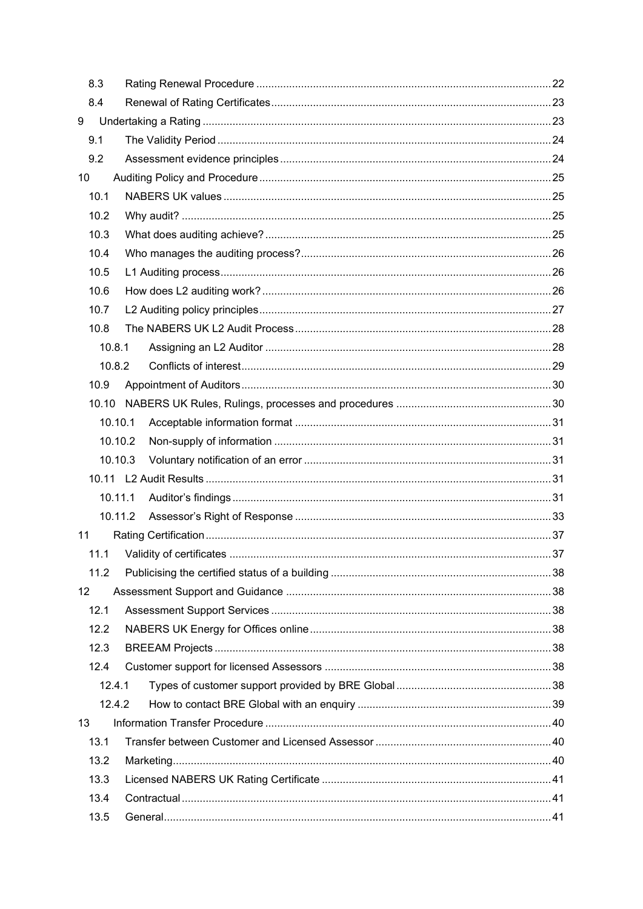|    | 8.3     |  |  |
|----|---------|--|--|
|    | 8.4     |  |  |
| 9  |         |  |  |
|    | 9.1     |  |  |
|    | 9.2     |  |  |
| 10 |         |  |  |
|    | 10.1    |  |  |
|    | 10.2    |  |  |
|    | 10.3    |  |  |
|    | 10.4    |  |  |
|    | 10.5    |  |  |
|    | 10.6    |  |  |
|    | 10.7    |  |  |
|    | 10.8    |  |  |
|    | 10.8.1  |  |  |
|    | 10.8.2  |  |  |
|    | 10.9    |  |  |
|    |         |  |  |
|    | 10.10.1 |  |  |
|    | 10.10.2 |  |  |
|    | 10.10.3 |  |  |
|    |         |  |  |
|    | 10.11.1 |  |  |
|    |         |  |  |
| 11 |         |  |  |
|    |         |  |  |
|    | 11.2    |  |  |
| 12 |         |  |  |
|    | 12.1    |  |  |
|    | 12.2    |  |  |
|    | 12.3    |  |  |
|    | 12.4    |  |  |
|    | 12.4.1  |  |  |
|    | 12.4.2  |  |  |
| 13 |         |  |  |
|    | 13.1    |  |  |
|    | 13.2    |  |  |
|    | 13.3    |  |  |
|    | 13.4    |  |  |
|    | 13.5    |  |  |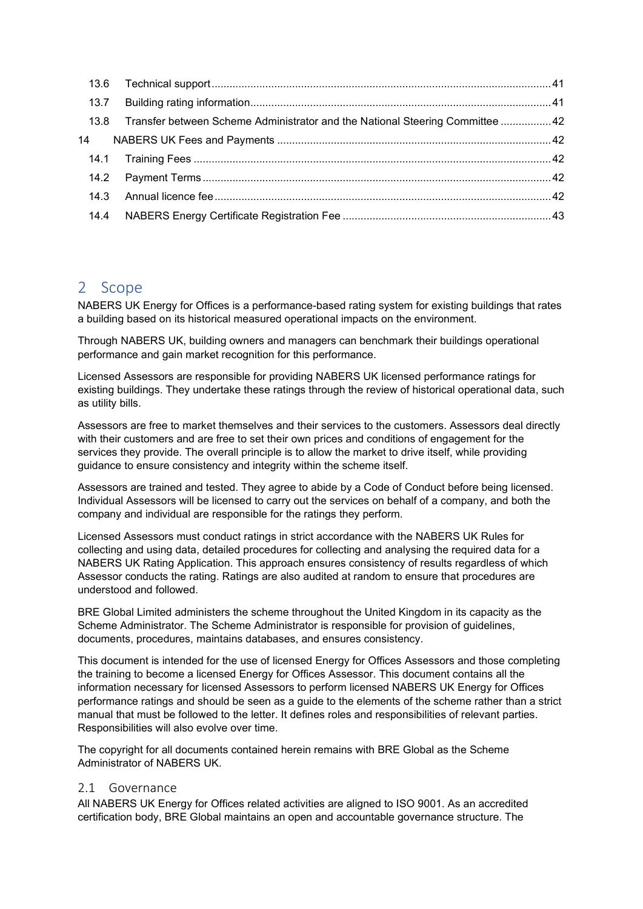|      | 13.8 Transfer between Scheme Administrator and the National Steering Committee  42 |  |
|------|------------------------------------------------------------------------------------|--|
|      |                                                                                    |  |
|      |                                                                                    |  |
|      |                                                                                    |  |
|      |                                                                                    |  |
| 14.4 |                                                                                    |  |

# 2 Scope

NABERS UK Energy for Offices is a performance-based rating system for existing buildings that rates a building based on its historical measured operational impacts on the environment.

Through NABERS UK, building owners and managers can benchmark their buildings operational performance and gain market recognition for this performance.

Licensed Assessors are responsible for providing NABERS UK licensed performance ratings for existing buildings. They undertake these ratings through the review of historical operational data, such as utility bills.

Assessors are free to market themselves and their services to the customers. Assessors deal directly with their customers and are free to set their own prices and conditions of engagement for the services they provide. The overall principle is to allow the market to drive itself, while providing guidance to ensure consistency and integrity within the scheme itself.

Assessors are trained and tested. They agree to abide by a Code of Conduct before being licensed. Individual Assessors will be licensed to carry out the services on behalf of a company, and both the company and individual are responsible for the ratings they perform.

Licensed Assessors must conduct ratings in strict accordance with the NABERS UK Rules for collecting and using data, detailed procedures for collecting and analysing the required data for a NABERS UK Rating Application. This approach ensures consistency of results regardless of which Assessor conducts the rating. Ratings are also audited at random to ensure that procedures are understood and followed.

BRE Global Limited administers the scheme throughout the United Kingdom in its capacity as the Scheme Administrator. The Scheme Administrator is responsible for provision of guidelines, documents, procedures, maintains databases, and ensures consistency.

This document is intended for the use of licensed Energy for Offices Assessors and those completing the training to become a licensed Energy for Offices Assessor. This document contains all the information necessary for licensed Assessors to perform licensed NABERS UK Energy for Offices performance ratings and should be seen as a guide to the elements of the scheme rather than a strict manual that must be followed to the letter. It defines roles and responsibilities of relevant parties. Responsibilities will also evolve over time.

The copyright for all documents contained herein remains with BRE Global as the Scheme Administrator of NABERS UK.

## 2.1 Governance

All NABERS UK Energy for Offices related activities are aligned to ISO 9001. As an accredited certification body, BRE Global maintains an open and accountable governance structure. The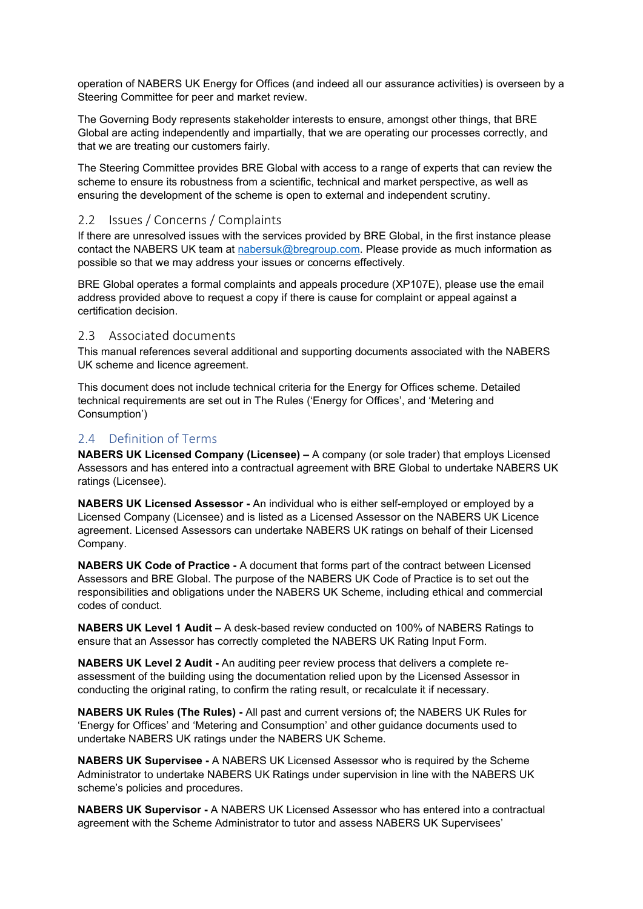operation of NABERS UK Energy for Offices (and indeed all our assurance activities) is overseen by a Steering Committee for peer and market review.

The Governing Body represents stakeholder interests to ensure, amongst other things, that BRE Global are acting independently and impartially, that we are operating our processes correctly, and that we are treating our customers fairly.

The Steering Committee provides BRE Global with access to a range of experts that can review the scheme to ensure its robustness from a scientific, technical and market perspective, as well as ensuring the development of the scheme is open to external and independent scrutiny.

## 2.2 Issues / Concerns / Complaints

If there are unresolved issues with the services provided by BRE Global, in the first instance please contact the NABERS UK team at [nabersuk@bregroup.com.](mailto:nabersuk@bregroup.com) Please provide as much information as possible so that we may address your issues or concerns effectively.

BRE Global operates a formal complaints and appeals procedure (XP107E), please use the email address provided above to request a copy if there is cause for complaint or appeal against a certification decision.

#### 2.3 Associated documents

This manual references several additional and supporting documents associated with the NABERS UK scheme and licence agreement.

This document does not include technical criteria for the Energy for Offices scheme. Detailed technical requirements are set out in The Rules ('Energy for Offices', and 'Metering and Consumption')

## 2.4 Definition of Terms

**NABERS UK Licensed Company (Licensee) –** A company (or sole trader) that employs Licensed Assessors and has entered into a contractual agreement with BRE Global to undertake NABERS UK ratings (Licensee).

**NABERS UK Licensed Assessor -** An individual who is either self-employed or employed by a Licensed Company (Licensee) and is listed as a Licensed Assessor on the NABERS UK Licence agreement. Licensed Assessors can undertake NABERS UK ratings on behalf of their Licensed Company.

**NABERS UK Code of Practice -** A document that forms part of the contract between Licensed Assessors and BRE Global. The purpose of the NABERS UK Code of Practice is to set out the responsibilities and obligations under the NABERS UK Scheme, including ethical and commercial codes of conduct.

**NABERS UK Level 1 Audit –** A desk-based review conducted on 100% of NABERS Ratings to ensure that an Assessor has correctly completed the NABERS UK Rating Input Form.

**NABERS UK Level 2 Audit -** An auditing peer review process that delivers a complete reassessment of the building using the documentation relied upon by the Licensed Assessor in conducting the original rating, to confirm the rating result, or recalculate it if necessary.

**NABERS UK Rules (The Rules) -** All past and current versions of; the NABERS UK Rules for 'Energy for Offices' and 'Metering and Consumption' and other guidance documents used to undertake NABERS UK ratings under the NABERS UK Scheme.

**NABERS UK Supervisee -** A NABERS UK Licensed Assessor who is required by the Scheme Administrator to undertake NABERS UK Ratings under supervision in line with the NABERS UK scheme's policies and procedures.

**NABERS UK Supervisor -** A NABERS UK Licensed Assessor who has entered into a contractual agreement with the Scheme Administrator to tutor and assess NABERS UK Supervisees'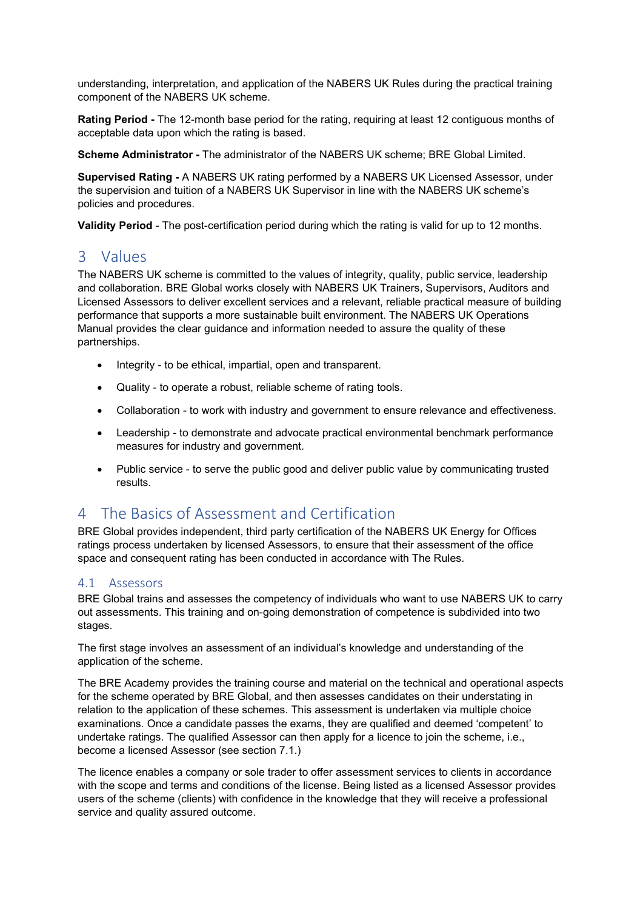understanding, interpretation, and application of the NABERS UK Rules during the practical training component of the NABERS UK scheme.

**Rating Period -** The 12-month base period for the rating, requiring at least 12 contiguous months of acceptable data upon which the rating is based.

**Scheme Administrator -** The administrator of the NABERS UK scheme; BRE Global Limited.

**Supervised Rating -** A NABERS UK rating performed by a NABERS UK Licensed Assessor, under the supervision and tuition of a NABERS UK Supervisor in line with the NABERS UK scheme's policies and procedures.

**Validity Period** - The post-certification period during which the rating is valid for up to 12 months.

# 3 Values

The NABERS UK scheme is committed to the values of integrity, quality, public service, leadership and collaboration. BRE Global works closely with NABERS UK Trainers, Supervisors, Auditors and Licensed Assessors to deliver excellent services and a relevant, reliable practical measure of building performance that supports a more sustainable built environment. The NABERS UK Operations Manual provides the clear guidance and information needed to assure the quality of these partnerships.

- Integrity to be ethical, impartial, open and transparent.
- Quality to operate a robust, reliable scheme of rating tools.
- Collaboration to work with industry and government to ensure relevance and effectiveness.
- Leadership to demonstrate and advocate practical environmental benchmark performance measures for industry and government.
- Public service to serve the public good and deliver public value by communicating trusted results.

# 4 The Basics of Assessment and Certification

BRE Global provides independent, third party certification of the NABERS UK Energy for Offices ratings process undertaken by licensed Assessors, to ensure that their assessment of the office space and consequent rating has been conducted in accordance with The Rules.

## 4.1 Assessors

BRE Global trains and assesses the competency of individuals who want to use NABERS UK to carry out assessments. This training and on-going demonstration of competence is subdivided into two stages.

The first stage involves an assessment of an individual's knowledge and understanding of the application of the scheme.

The BRE Academy provides the training course and material on the technical and operational aspects for the scheme operated by BRE Global, and then assesses candidates on their understating in relation to the application of these schemes. This assessment is undertaken via multiple choice examinations. Once a candidate passes the exams, they are qualified and deemed 'competent' to undertake ratings. The qualified Assessor can then apply for a licence to join the scheme, i.e., become a licensed Assessor (see section 7.1.)

The licence enables a company or sole trader to offer assessment services to clients in accordance with the scope and terms and conditions of the license. Being listed as a licensed Assessor provides users of the scheme (clients) with confidence in the knowledge that they will receive a professional service and quality assured outcome.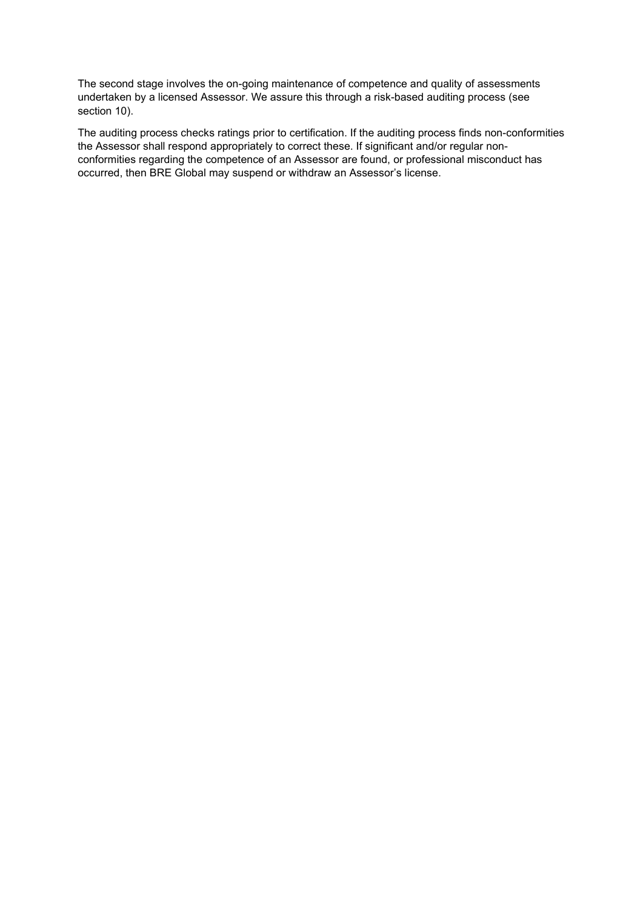The second stage involves the on-going maintenance of competence and quality of assessments undertaken by a licensed Assessor. We assure this through a risk-based auditing process (see section 10).

The auditing process checks ratings prior to certification. If the auditing process finds non-conformities the Assessor shall respond appropriately to correct these. If significant and/or regular nonconformities regarding the competence of an Assessor are found, or professional misconduct has occurred, then BRE Global may suspend or withdraw an Assessor's license.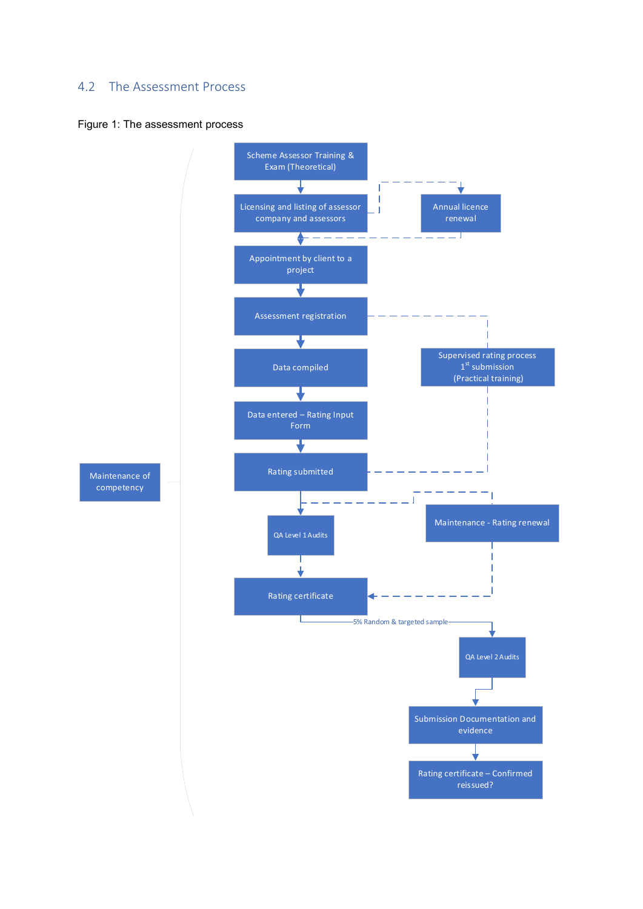# 4.2 The Assessment Process

#### Figure 1: The assessment process

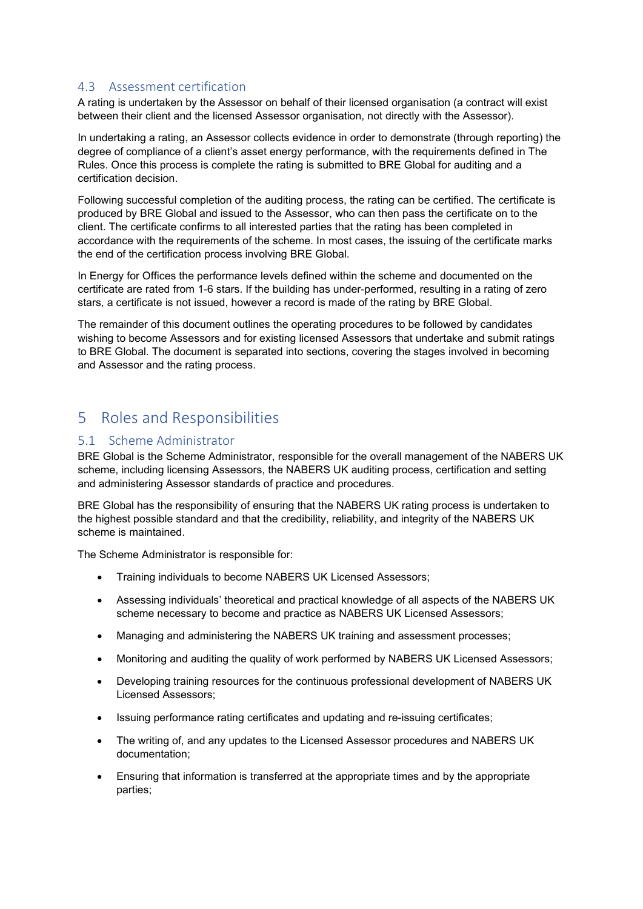### 4.3 Assessment certification

A rating is undertaken by the Assessor on behalf of their licensed organisation (a contract will exist between their client and the licensed Assessor organisation, not directly with the Assessor).

In undertaking a rating, an Assessor collects evidence in order to demonstrate (through reporting) the degree of compliance of a client's asset energy performance, with the requirements defined in The Rules. Once this process is complete the rating is submitted to BRE Global for auditing and a certification decision.

Following successful completion of the auditing process, the rating can be certified. The certificate is produced by BRE Global and issued to the Assessor, who can then pass the certificate on to the client. The certificate confirms to all interested parties that the rating has been completed in accordance with the requirements of the scheme. In most cases, the issuing of the certificate marks the end of the certification process involving BRE Global.

In Energy for Offices the performance levels defined within the scheme and documented on the certificate are rated from 1-6 stars. If the building has under-performed, resulting in a rating of zero stars, a certificate is not issued, however a record is made of the rating by BRE Global.

The remainder of this document outlines the operating procedures to be followed by candidates wishing to become Assessors and for existing licensed Assessors that undertake and submit ratings to BRE Global. The document is separated into sections, covering the stages involved in becoming and Assessor and the rating process.

# 5 Roles and Responsibilities

#### 5.1 Scheme Administrator

BRE Global is the Scheme Administrator, responsible for the overall management of the NABERS UK scheme, including licensing Assessors, the NABERS UK auditing process, certification and setting and administering Assessor standards of practice and procedures.

BRE Global has the responsibility of ensuring that the NABERS UK rating process is undertaken to the highest possible standard and that the credibility, reliability, and integrity of the NABERS UK scheme is maintained.

The Scheme Administrator is responsible for:

- Training individuals to become NABERS UK Licensed Assessors;
- Assessing individuals' theoretical and practical knowledge of all aspects of the NABERS UK scheme necessary to become and practice as NABERS UK Licensed Assessors;
- Managing and administering the NABERS UK training and assessment processes;
- Monitoring and auditing the quality of work performed by NABERS UK Licensed Assessors;
- Developing training resources for the continuous professional development of NABERS UK Licensed Assessors;
- Issuing performance rating certificates and updating and re-issuing certificates;
- The writing of, and any updates to the Licensed Assessor procedures and NABERS UK documentation;
- Ensuring that information is transferred at the appropriate times and by the appropriate parties;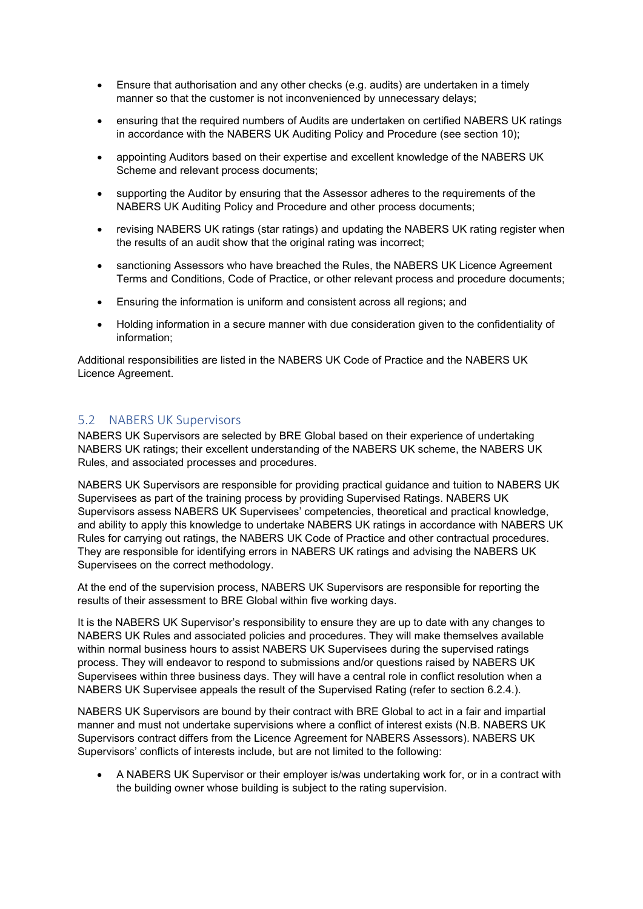- Ensure that authorisation and any other checks (e.g. audits) are undertaken in a timely manner so that the customer is not inconvenienced by unnecessary delays;
- ensuring that the required numbers of Audits are undertaken on certified NABERS UK ratings in accordance with the NABERS UK Auditing Policy and Procedure (see section 10);
- appointing Auditors based on their expertise and excellent knowledge of the NABERS UK Scheme and relevant process documents;
- supporting the Auditor by ensuring that the Assessor adheres to the requirements of the NABERS UK Auditing Policy and Procedure and other process documents;
- revising NABERS UK ratings (star ratings) and updating the NABERS UK rating register when the results of an audit show that the original rating was incorrect;
- sanctioning Assessors who have breached the Rules, the NABERS UK Licence Agreement Terms and Conditions, Code of Practice, or other relevant process and procedure documents;
- Ensuring the information is uniform and consistent across all regions; and
- Holding information in a secure manner with due consideration given to the confidentiality of information;

Additional responsibilities are listed in the NABERS UK Code of Practice and the NABERS UK Licence Agreement.

#### 5.2 NABERS UK Supervisors

NABERS UK Supervisors are selected by BRE Global based on their experience of undertaking NABERS UK ratings; their excellent understanding of the NABERS UK scheme, the NABERS UK Rules, and associated processes and procedures.

NABERS UK Supervisors are responsible for providing practical guidance and tuition to NABERS UK Supervisees as part of the training process by providing Supervised Ratings. NABERS UK Supervisors assess NABERS UK Supervisees' competencies, theoretical and practical knowledge, and ability to apply this knowledge to undertake NABERS UK ratings in accordance with NABERS UK Rules for carrying out ratings, the NABERS UK Code of Practice and other contractual procedures. They are responsible for identifying errors in NABERS UK ratings and advising the NABERS UK Supervisees on the correct methodology.

At the end of the supervision process, NABERS UK Supervisors are responsible for reporting the results of their assessment to BRE Global within five working days.

It is the NABERS UK Supervisor's responsibility to ensure they are up to date with any changes to NABERS UK Rules and associated policies and procedures. They will make themselves available within normal business hours to assist NABERS UK Supervisees during the supervised ratings process. They will endeavor to respond to submissions and/or questions raised by NABERS UK Supervisees within three business days. They will have a central role in conflict resolution when a NABERS UK Supervisee appeals the result of the Supervised Rating (refer to section 6.2.4.).

NABERS UK Supervisors are bound by their contract with BRE Global to act in a fair and impartial manner and must not undertake supervisions where a conflict of interest exists (N.B. NABERS UK Supervisors contract differs from the Licence Agreement for NABERS Assessors). NABERS UK Supervisors' conflicts of interests include, but are not limited to the following:

• A NABERS UK Supervisor or their employer is/was undertaking work for, or in a contract with the building owner whose building is subject to the rating supervision.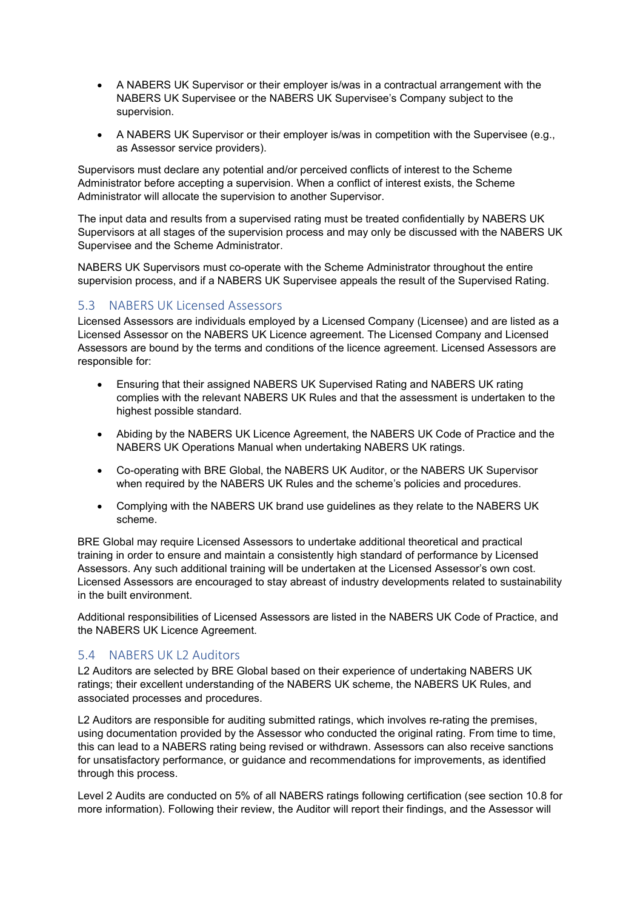- A NABERS UK Supervisor or their employer is/was in a contractual arrangement with the NABERS UK Supervisee or the NABERS UK Supervisee's Company subject to the supervision.
- A NABERS UK Supervisor or their employer is/was in competition with the Supervisee (e.g., as Assessor service providers).

Supervisors must declare any potential and/or perceived conflicts of interest to the Scheme Administrator before accepting a supervision. When a conflict of interest exists, the Scheme Administrator will allocate the supervision to another Supervisor.

The input data and results from a supervised rating must be treated confidentially by NABERS UK Supervisors at all stages of the supervision process and may only be discussed with the NABERS UK Supervisee and the Scheme Administrator.

NABERS UK Supervisors must co-operate with the Scheme Administrator throughout the entire supervision process, and if a NABERS UK Supervisee appeals the result of the Supervised Rating.

## 5.3 NABERS UK Licensed Assessors

Licensed Assessors are individuals employed by a Licensed Company (Licensee) and are listed as a Licensed Assessor on the NABERS UK Licence agreement. The Licensed Company and Licensed Assessors are bound by the terms and conditions of the licence agreement. Licensed Assessors are responsible for:

- Ensuring that their assigned NABERS UK Supervised Rating and NABERS UK rating complies with the relevant NABERS UK Rules and that the assessment is undertaken to the highest possible standard.
- Abiding by the NABERS UK Licence Agreement, the NABERS UK Code of Practice and the NABERS UK Operations Manual when undertaking NABERS UK ratings.
- Co-operating with BRE Global, the NABERS UK Auditor, or the NABERS UK Supervisor when required by the NABERS UK Rules and the scheme's policies and procedures.
- Complying with the NABERS UK brand use guidelines as they relate to the NABERS UK scheme.

BRE Global may require Licensed Assessors to undertake additional theoretical and practical training in order to ensure and maintain a consistently high standard of performance by Licensed Assessors. Any such additional training will be undertaken at the Licensed Assessor's own cost. Licensed Assessors are encouraged to stay abreast of industry developments related to sustainability in the built environment.

Additional responsibilities of Licensed Assessors are listed in the NABERS UK Code of Practice, and the NABERS UK Licence Agreement.

## 5.4 NABERS UK L2 Auditors

L2 Auditors are selected by BRE Global based on their experience of undertaking NABERS UK ratings; their excellent understanding of the NABERS UK scheme, the NABERS UK Rules, and associated processes and procedures.

L2 Auditors are responsible for auditing submitted ratings, which involves re-rating the premises, using documentation provided by the Assessor who conducted the original rating. From time to time, this can lead to a NABERS rating being revised or withdrawn. Assessors can also receive sanctions for unsatisfactory performance, or guidance and recommendations for improvements, as identified through this process.

Level 2 Audits are conducted on 5% of all NABERS ratings following certification (see section 10.8 for more information). Following their review, the Auditor will report their findings, and the Assessor will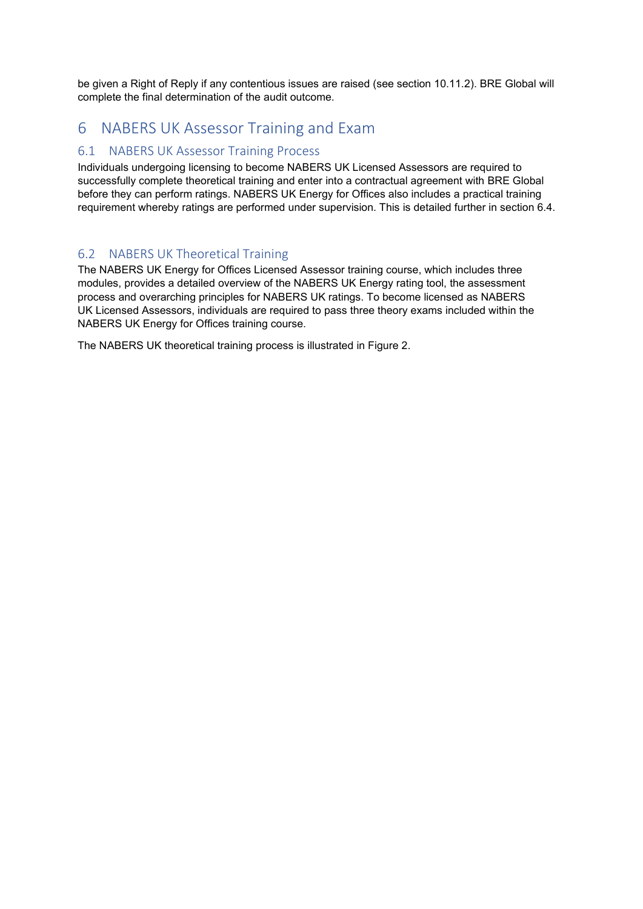be given a Right of Reply if any contentious issues are raised (see section 10.11.2). BRE Global will complete the final determination of the audit outcome.

# 6 NABERS UK Assessor Training and Exam

## 6.1 NABERS UK Assessor Training Process

Individuals undergoing licensing to become NABERS UK Licensed Assessors are required to successfully complete theoretical training and enter into a contractual agreement with BRE Global before they can perform ratings. NABERS UK Energy for Offices also includes a practical training requirement whereby ratings are performed under supervision. This is detailed further in section 6.4.

## 6.2 NABERS UK Theoretical Training

The NABERS UK Energy for Offices Licensed Assessor training course, which includes three modules, provides a detailed overview of the NABERS UK Energy rating tool, the assessment process and overarching principles for NABERS UK ratings. To become licensed as NABERS UK Licensed Assessors, individuals are required to pass three theory exams included within the NABERS UK Energy for Offices training course.

The NABERS UK theoretical training process is illustrated in Figure 2.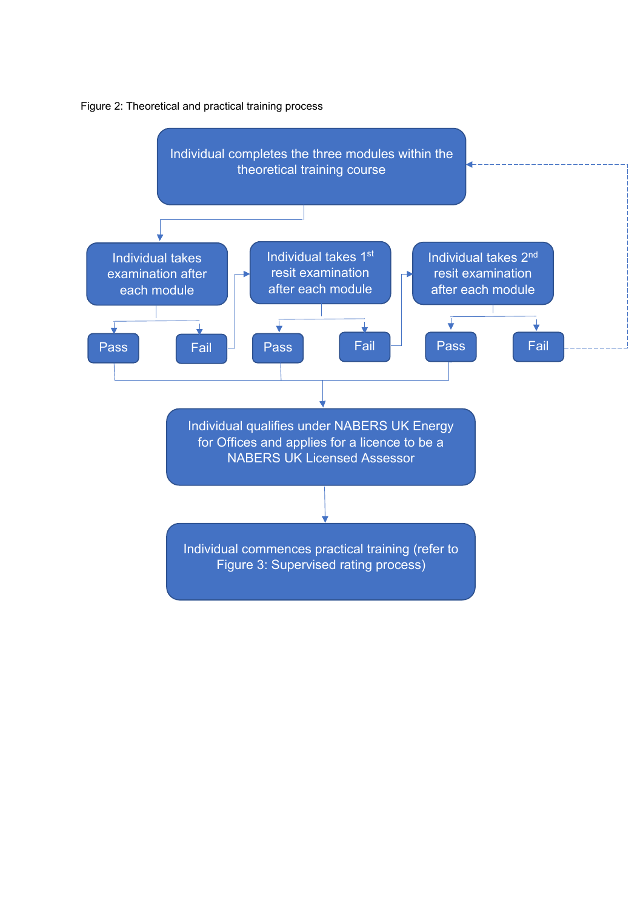

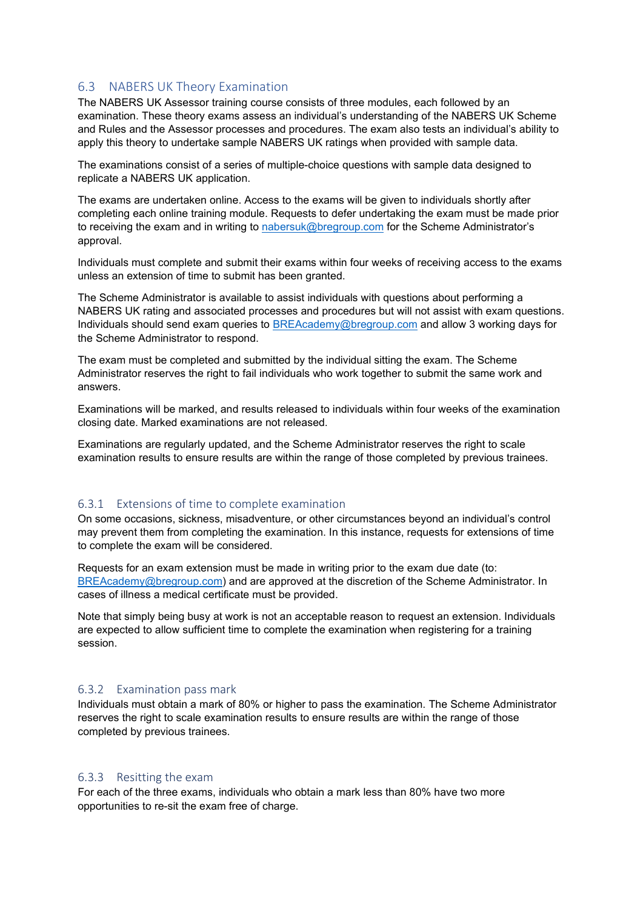## 6.3 NABERS UK Theory Examination

The NABERS UK Assessor training course consists of three modules, each followed by an examination. These theory exams assess an individual's understanding of the NABERS UK Scheme and Rules and the Assessor processes and procedures. The exam also tests an individual's ability to apply this theory to undertake sample NABERS UK ratings when provided with sample data.

The examinations consist of a series of multiple-choice questions with sample data designed to replicate a NABERS UK application.

The exams are undertaken online. Access to the exams will be given to individuals shortly after completing each online training module. Requests to defer undertaking the exam must be made prior to receiving the exam and in writing to [nabersuk@bregroup.com](mailto:nabersuk@bregroup.com) for the Scheme Administrator's approval.

Individuals must complete and submit their exams within four weeks of receiving access to the exams unless an extension of time to submit has been granted.

The Scheme Administrator is available to assist individuals with questions about performing a NABERS UK rating and associated processes and procedures but will not assist with exam questions. Individuals should send exam queries to [BREAcademy@bregroup.com](mailto:BREAcademy@bregroup.com) and allow 3 working days for the Scheme Administrator to respond.

The exam must be completed and submitted by the individual sitting the exam. The Scheme Administrator reserves the right to fail individuals who work together to submit the same work and answers.

Examinations will be marked, and results released to individuals within four weeks of the examination closing date. Marked examinations are not released.

Examinations are regularly updated, and the Scheme Administrator reserves the right to scale examination results to ensure results are within the range of those completed by previous trainees.

#### 6.3.1 Extensions of time to complete examination

On some occasions, sickness, misadventure, or other circumstances beyond an individual's control may prevent them from completing the examination. In this instance, requests for extensions of time to complete the exam will be considered.

Requests for an exam extension must be made in writing prior to the exam due date (to: [BREAcademy@bregroup.com\)](https://bretrust.sharepoint.com/sites/NABERSUK/Shared%20Documents/Training%20and%20Accreditation/NABERS%20UK%20Accreditation%20and%20Audit%20Docs/BREAcademy@bregroup.com) and are approved at the discretion of the Scheme Administrator. In cases of illness a medical certificate must be provided.

Note that simply being busy at work is not an acceptable reason to request an extension. Individuals are expected to allow sufficient time to complete the examination when registering for a training session.

#### 6.3.2 Examination pass mark

Individuals must obtain a mark of 80% or higher to pass the examination. The Scheme Administrator reserves the right to scale examination results to ensure results are within the range of those completed by previous trainees.

#### 6.3.3 Resitting the exam

For each of the three exams, individuals who obtain a mark less than 80% have two more opportunities to re-sit the exam free of charge.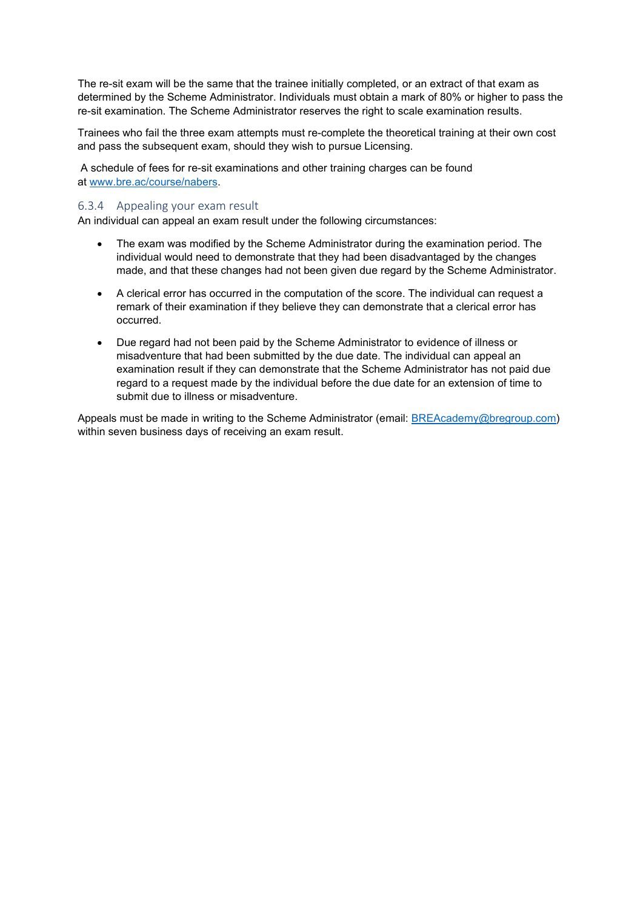The re-sit exam will be the same that the trainee initially completed, or an extract of that exam as determined by the Scheme Administrator. Individuals must obtain a mark of 80% or higher to pass the re-sit examination. The Scheme Administrator reserves the right to scale examination results.

Trainees who fail the three exam attempts must re-complete the theoretical training at their own cost and pass the subsequent exam, should they wish to pursue Licensing.

A schedule of fees for re-sit examinations and other training charges can be found at [www.bre.ac/course/nabers.](https://www.bre.ac/course/nabers/)

#### 6.3.4 Appealing your exam result

An individual can appeal an exam result under the following circumstances:

- The exam was modified by the Scheme Administrator during the examination period. The individual would need to demonstrate that they had been disadvantaged by the changes made, and that these changes had not been given due regard by the Scheme Administrator.
- A clerical error has occurred in the computation of the score. The individual can request a remark of their examination if they believe they can demonstrate that a clerical error has occurred.
- Due regard had not been paid by the Scheme Administrator to evidence of illness or misadventure that had been submitted by the due date. The individual can appeal an examination result if they can demonstrate that the Scheme Administrator has not paid due regard to a request made by the individual before the due date for an extension of time to submit due to illness or misadventure.

Appeals must be made in writing to the Scheme Administrator (email: [BREAcademy@bregroup.com\)](https://bretrust.sharepoint.com/sites/NABERSUK/Shared%20Documents/Training%20and%20Accreditation/NABERS%20UK%20Accreditation%20and%20Audit%20Docs/BREAcademy@bregroup.com) within seven business days of receiving an exam result.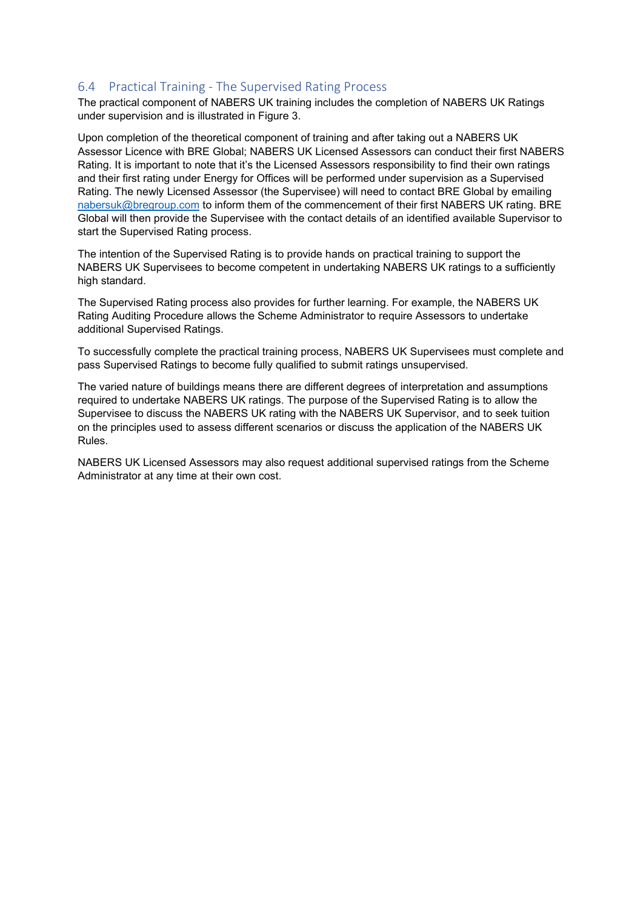## 6.4 Practical Training - The Supervised Rating Process

The practical component of NABERS UK training includes the completion of NABERS UK Ratings under supervision and is illustrated in Figure 3.

Upon completion of the theoretical component of training and after taking out a NABERS UK Assessor Licence with BRE Global; NABERS UK Licensed Assessors can conduct their first NABERS Rating. It is important to note that it's the Licensed Assessors responsibility to find their own ratings and their first rating under Energy for Offices will be performed under supervision as a Supervised Rating. The newly Licensed Assessor (the Supervisee) will need to contact BRE Global by emailing [nabersuk@bregroup.com](mailto:nabersuk@bregroup.com) to inform them of the commencement of their first NABERS UK rating. BRE Global will then provide the Supervisee with the contact details of an identified available Supervisor to start the Supervised Rating process.

The intention of the Supervised Rating is to provide hands on practical training to support the NABERS UK Supervisees to become competent in undertaking NABERS UK ratings to a sufficiently high standard.

The Supervised Rating process also provides for further learning. For example, the NABERS UK Rating Auditing Procedure allows the Scheme Administrator to require Assessors to undertake additional Supervised Ratings.

To successfully complete the practical training process, NABERS UK Supervisees must complete and pass Supervised Ratings to become fully qualified to submit ratings unsupervised.

The varied nature of buildings means there are different degrees of interpretation and assumptions required to undertake NABERS UK ratings. The purpose of the Supervised Rating is to allow the Supervisee to discuss the NABERS UK rating with the NABERS UK Supervisor, and to seek tuition on the principles used to assess different scenarios or discuss the application of the NABERS UK Rules.

NABERS UK Licensed Assessors may also request additional supervised ratings from the Scheme Administrator at any time at their own cost.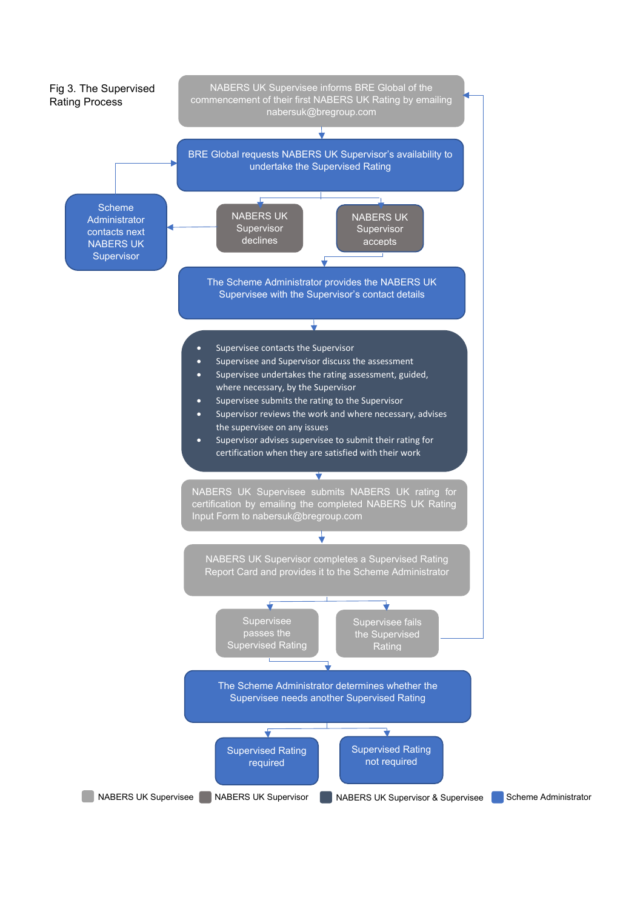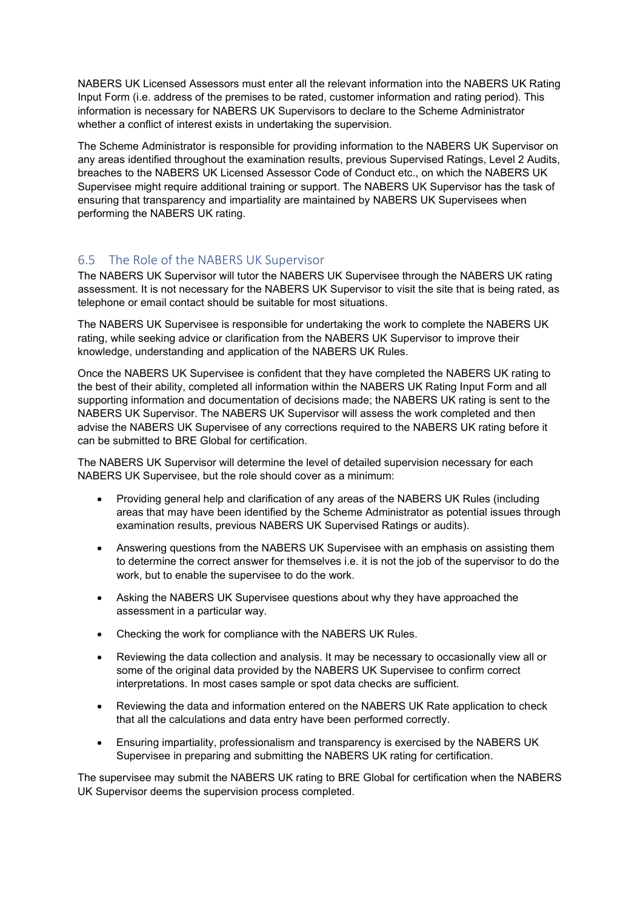NABERS UK Licensed Assessors must enter all the relevant information into the NABERS UK Rating Input Form (i.e. address of the premises to be rated, customer information and rating period). This information is necessary for NABERS UK Supervisors to declare to the Scheme Administrator whether a conflict of interest exists in undertaking the supervision.

The Scheme Administrator is responsible for providing information to the NABERS UK Supervisor on any areas identified throughout the examination results, previous Supervised Ratings, Level 2 Audits, breaches to the NABERS UK Licensed Assessor Code of Conduct etc., on which the NABERS UK Supervisee might require additional training or support. The NABERS UK Supervisor has the task of ensuring that transparency and impartiality are maintained by NABERS UK Supervisees when performing the NABERS UK rating.

# 6.5 The Role of the NABERS UK Supervisor

The NABERS UK Supervisor will tutor the NABERS UK Supervisee through the NABERS UK rating assessment. It is not necessary for the NABERS UK Supervisor to visit the site that is being rated, as telephone or email contact should be suitable for most situations.

The NABERS UK Supervisee is responsible for undertaking the work to complete the NABERS UK rating, while seeking advice or clarification from the NABERS UK Supervisor to improve their knowledge, understanding and application of the NABERS UK Rules.

Once the NABERS UK Supervisee is confident that they have completed the NABERS UK rating to the best of their ability, completed all information within the NABERS UK Rating Input Form and all supporting information and documentation of decisions made; the NABERS UK rating is sent to the NABERS UK Supervisor. The NABERS UK Supervisor will assess the work completed and then advise the NABERS UK Supervisee of any corrections required to the NABERS UK rating before it can be submitted to BRE Global for certification.

The NABERS UK Supervisor will determine the level of detailed supervision necessary for each NABERS UK Supervisee, but the role should cover as a minimum:

- Providing general help and clarification of any areas of the NABERS UK Rules (including areas that may have been identified by the Scheme Administrator as potential issues through examination results, previous NABERS UK Supervised Ratings or audits).
- Answering questions from the NABERS UK Supervisee with an emphasis on assisting them to determine the correct answer for themselves i.e. it is not the job of the supervisor to do the work, but to enable the supervisee to do the work.
- Asking the NABERS UK Supervisee questions about why they have approached the assessment in a particular way.
- Checking the work for compliance with the NABERS UK Rules.
- Reviewing the data collection and analysis. It may be necessary to occasionally view all or some of the original data provided by the NABERS UK Supervisee to confirm correct interpretations. In most cases sample or spot data checks are sufficient.
- Reviewing the data and information entered on the NABERS UK Rate application to check that all the calculations and data entry have been performed correctly.
- Ensuring impartiality, professionalism and transparency is exercised by the NABERS UK Supervisee in preparing and submitting the NABERS UK rating for certification.

The supervisee may submit the NABERS UK rating to BRE Global for certification when the NABERS UK Supervisor deems the supervision process completed.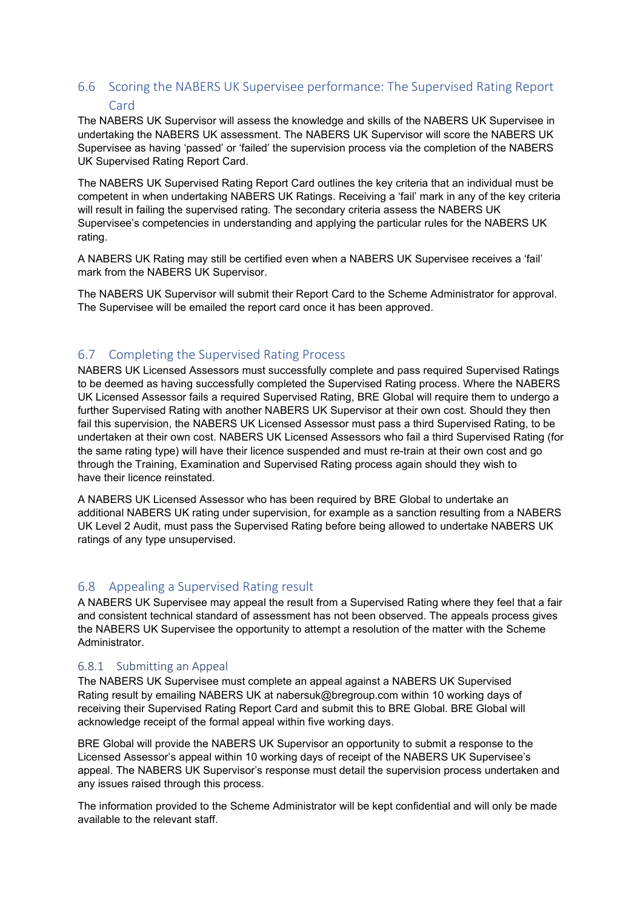# 6.6 Scoring the NABERS UK Supervisee performance: The Supervised Rating Report Card

The NABERS UK Supervisor will assess the knowledge and skills of the NABERS UK Supervisee in undertaking the NABERS UK assessment. The NABERS UK Supervisor will score the NABERS UK Supervisee as having 'passed' or 'failed' the supervision process via the completion of the NABERS UK Supervised Rating Report Card.

The NABERS UK Supervised Rating Report Card outlines the key criteria that an individual must be competent in when undertaking NABERS UK Ratings. Receiving a 'fail' mark in any of the key criteria will result in failing the supervised rating. The secondary criteria assess the NABERS UK Supervisee's competencies in understanding and applying the particular rules for the NABERS UK rating.

A NABERS UK Rating may still be certified even when a NABERS UK Supervisee receives a 'fail' mark from the NABERS UK Supervisor.

The NABERS UK Supervisor will submit their Report Card to the Scheme Administrator for approval. The Supervisee will be emailed the report card once it has been approved.

# 6.7 Completing the Supervised Rating Process

NABERS UK Licensed Assessors must successfully complete and pass required Supervised Ratings to be deemed as having successfully completed the Supervised Rating process. Where the NABERS UK Licensed Assessor fails a required Supervised Rating, BRE Global will require them to undergo a further Supervised Rating with another NABERS UK Supervisor at their own cost. Should they then fail this supervision, the NABERS UK Licensed Assessor must pass a third Supervised Rating, to be undertaken at their own cost. NABERS UK Licensed Assessors who fail a third Supervised Rating (for the same rating type) will have their licence suspended and must re-train at their own cost and go through the Training, Examination and Supervised Rating process again should they wish to have their licence reinstated.

A NABERS UK Licensed Assessor who has been required by BRE Global to undertake an additional NABERS UK rating under supervision, for example as a sanction resulting from a NABERS UK Level 2 Audit, must pass the Supervised Rating before being allowed to undertake NABERS UK ratings of any type unsupervised.

# 6.8 Appealing a Supervised Rating result

A NABERS UK Supervisee may appeal the result from a Supervised Rating where they feel that a fair and consistent technical standard of assessment has not been observed. The appeals process gives the NABERS UK Supervisee the opportunity to attempt a resolution of the matter with the Scheme Administrator.

## 6.8.1 Submitting an Appeal

The NABERS UK Supervisee must complete an appeal against a NABERS UK Supervised Rating result by emailing NABERS UK at nabersuk@bregroup.com within 10 working days of receiving their Supervised Rating Report Card and submit this to BRE Global. BRE Global will acknowledge receipt of the formal appeal within five working days.

BRE Global will provide the NABERS UK Supervisor an opportunity to submit a response to the Licensed Assessor's appeal within 10 working days of receipt of the NABERS UK Supervisee's appeal. The NABERS UK Supervisor's response must detail the supervision process undertaken and any issues raised through this process.

The information provided to the Scheme Administrator will be kept confidential and will only be made available to the relevant staff.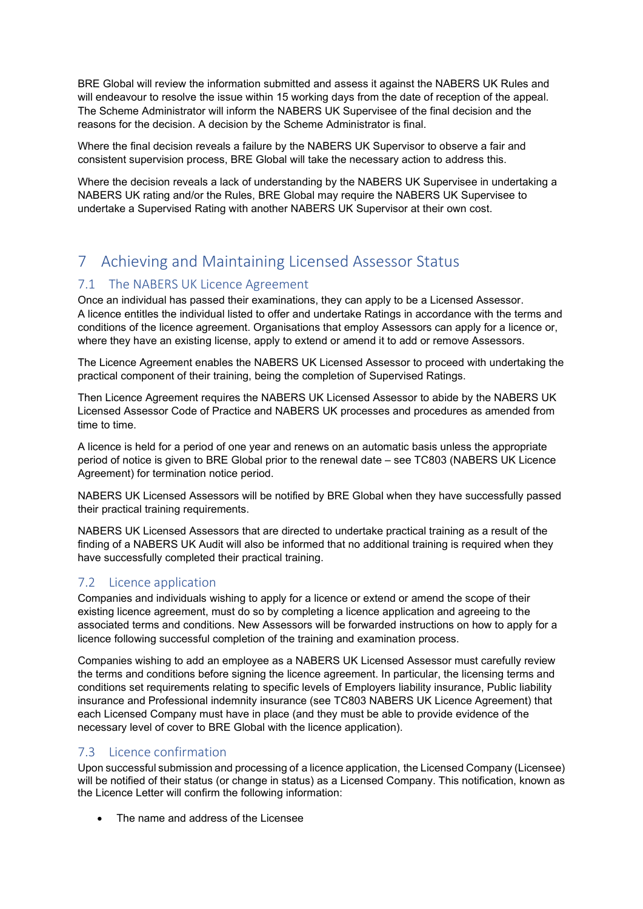BRE Global will review the information submitted and assess it against the NABERS UK Rules and will endeavour to resolve the issue within 15 working days from the date of reception of the appeal. The Scheme Administrator will inform the NABERS UK Supervisee of the final decision and the reasons for the decision. A decision by the Scheme Administrator is final.

Where the final decision reveals a failure by the NABERS UK Supervisor to observe a fair and consistent supervision process, BRE Global will take the necessary action to address this.

Where the decision reveals a lack of understanding by the NABERS UK Supervisee in undertaking a NABERS UK rating and/or the Rules, BRE Global may require the NABERS UK Supervisee to undertake a Supervised Rating with another NABERS UK Supervisor at their own cost.

# 7 Achieving and Maintaining Licensed Assessor Status

## 7.1 The NABERS UK Licence Agreement

Once an individual has passed their examinations, they can apply to be a Licensed Assessor. A licence entitles the individual listed to offer and undertake Ratings in accordance with the terms and conditions of the licence agreement. Organisations that employ Assessors can apply for a licence or, where they have an existing license, apply to extend or amend it to add or remove Assessors.

The Licence Agreement enables the NABERS UK Licensed Assessor to proceed with undertaking the practical component of their training, being the completion of Supervised Ratings.

Then Licence Agreement requires the NABERS UK Licensed Assessor to abide by the NABERS UK Licensed Assessor Code of Practice and NABERS UK processes and procedures as amended from time to time.

A licence is held for a period of one year and renews on an automatic basis unless the appropriate period of notice is given to BRE Global prior to the renewal date – see TC803 (NABERS UK Licence Agreement) for termination notice period.

NABERS UK Licensed Assessors will be notified by BRE Global when they have successfully passed their practical training requirements.

NABERS UK Licensed Assessors that are directed to undertake practical training as a result of the finding of a NABERS UK Audit will also be informed that no additional training is required when they have successfully completed their practical training.

# 7.2 Licence application

Companies and individuals wishing to apply for a licence or extend or amend the scope of their existing licence agreement, must do so by completing a licence application and agreeing to the associated terms and conditions. New Assessors will be forwarded instructions on how to apply for a licence following successful completion of the training and examination process.

Companies wishing to add an employee as a NABERS UK Licensed Assessor must carefully review the terms and conditions before signing the licence agreement. In particular, the licensing terms and conditions set requirements relating to specific levels of Employers liability insurance, Public liability insurance and Professional indemnity insurance (see TC803 NABERS UK Licence Agreement) that each Licensed Company must have in place (and they must be able to provide evidence of the necessary level of cover to BRE Global with the licence application).

## 7.3 Licence confirmation

Upon successful submission and processing of a licence application, the Licensed Company (Licensee) will be notified of their status (or change in status) as a Licensed Company. This notification, known as the Licence Letter will confirm the following information:

The name and address of the Licensee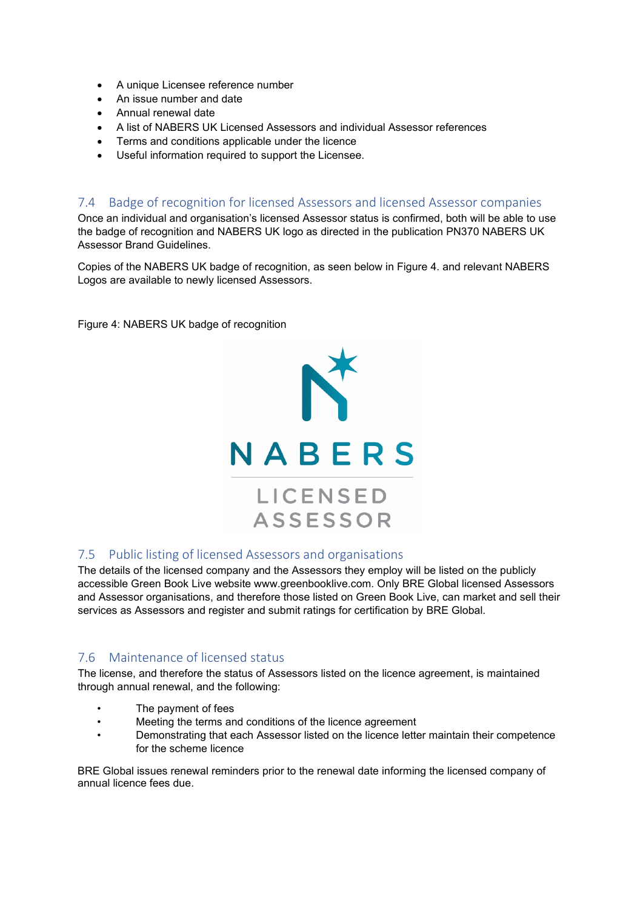- A unique Licensee reference number
- An issue number and date
- Annual renewal date
- A list of NABERS UK Licensed Assessors and individual Assessor references
- Terms and conditions applicable under the licence
- Useful information required to support the Licensee.

## 7.4 Badge of recognition for licensed Assessors and licensed Assessor companies

Once an individual and organisation's licensed Assessor status is confirmed, both will be able to use the badge of recognition and NABERS UK logo as directed in the publication PN370 NABERS UK Assessor Brand Guidelines.

Copies of the NABERS UK badge of recognition, as seen below in Figure 4. and relevant NABERS Logos are available to newly licensed Assessors.

Figure 4: NABERS UK badge of recognition



## 7.5 Public listing of licensed Assessors and organisations

The details of the licensed company and the Assessors they employ will be listed on the publicly accessible Green Book Live website www.greenbooklive.com. Only BRE Global licensed Assessors and Assessor organisations, and therefore those listed on Green Book Live, can market and sell their services as Assessors and register and submit ratings for certification by BRE Global.

## 7.6 Maintenance of licensed status

The license, and therefore the status of Assessors listed on the licence agreement, is maintained through annual renewal, and the following:

- The payment of fees
- Meeting the terms and conditions of the licence agreement
- Demonstrating that each Assessor listed on the licence letter maintain their competence for the scheme licence

BRE Global issues renewal reminders prior to the renewal date informing the licensed company of annual licence fees due.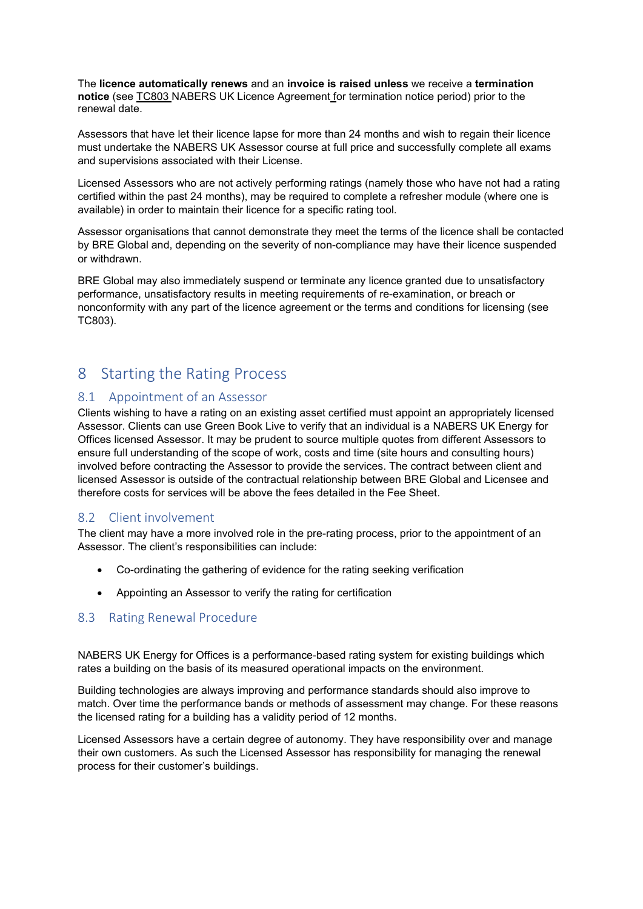The **licence automatically renews** and an **invoice is raised unless** we receive a **termination notice** (see TC803 NABERS UK Licence Agreement for termination notice period) prior to the renewal date.

Assessors that have let their licence lapse for more than 24 months and wish to regain their licence must undertake the NABERS UK Assessor course at full price and successfully complete all exams and supervisions associated with their License.

Licensed Assessors who are not actively performing ratings (namely those who have not had a rating certified within the past 24 months), may be required to complete a refresher module (where one is available) in order to maintain their licence for a specific rating tool.

Assessor organisations that cannot demonstrate they meet the terms of the licence shall be contacted by BRE Global and, depending on the severity of non-compliance may have their licence suspended or withdrawn.

BRE Global may also immediately suspend or terminate any licence granted due to unsatisfactory performance, unsatisfactory results in meeting requirements of re-examination, or breach or nonconformity with any part of the licence agreement or the terms and conditions for licensing (see TC803).

# 8 Starting the Rating Process

## 8.1 Appointment of an Assessor

Clients wishing to have a rating on an existing asset certified must appoint an appropriately licensed Assessor. Clients can use Green Book Live to verify that an individual is a NABERS UK Energy for Offices licensed Assessor. It may be prudent to source multiple quotes from different Assessors to ensure full understanding of the scope of work, costs and time (site hours and consulting hours) involved before contracting the Assessor to provide the services. The contract between client and licensed Assessor is outside of the contractual relationship between BRE Global and Licensee and therefore costs for services will be above the fees detailed in the Fee Sheet.

## 8.2 Client involvement

The client may have a more involved role in the pre-rating process, prior to the appointment of an Assessor. The client's responsibilities can include:

- Co-ordinating the gathering of evidence for the rating seeking verification
- Appointing an Assessor to verify the rating for certification

## 8.3 Rating Renewal Procedure

NABERS UK Energy for Offices is a performance-based rating system for existing buildings which rates a building on the basis of its measured operational impacts on the environment.

Building technologies are always improving and performance standards should also improve to match. Over time the performance bands or methods of assessment may change. For these reasons the licensed rating for a building has a validity period of 12 months.

Licensed Assessors have a certain degree of autonomy. They have responsibility over and manage their own customers. As such the Licensed Assessor has responsibility for managing the renewal process for their customer's buildings.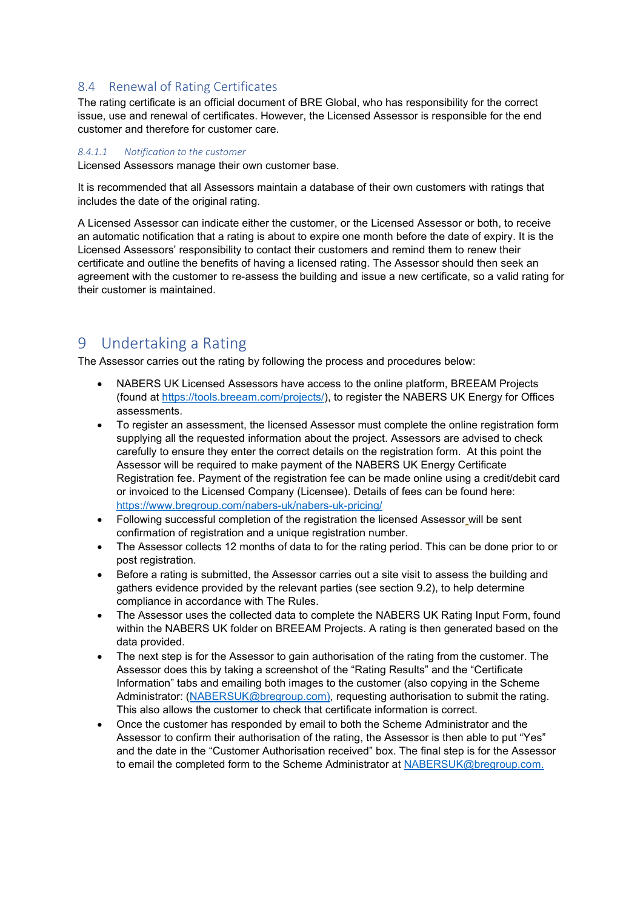### 8.4 Renewal of Rating Certificates

The rating certificate is an official document of BRE Global, who has responsibility for the correct issue, use and renewal of certificates. However, the Licensed Assessor is responsible for the end customer and therefore for customer care.

#### *8.4.1.1 Notification to the customer*

Licensed Assessors manage their own customer base.

It is recommended that all Assessors maintain a database of their own customers with ratings that includes the date of the original rating.

A Licensed Assessor can indicate either the customer, or the Licensed Assessor or both, to receive an automatic notification that a rating is about to expire one month before the date of expiry. It is the Licensed Assessors' responsibility to contact their customers and remind them to renew their certificate and outline the benefits of having a licensed rating. The Assessor should then seek an agreement with the customer to re-assess the building and issue a new certificate, so a valid rating for their customer is maintained.

# 9 Undertaking a Rating

The Assessor carries out the rating by following the process and procedures below:

- NABERS UK Licensed Assessors have access to the online platform, BREEAM Projects (found at [https://tools.breeam.com/projects/\)](https://tools.breeam.com/projects/), to register the NABERS UK Energy for Offices assessments.
- To register an assessment, the licensed Assessor must complete the online registration form supplying all the requested information about the project. Assessors are advised to check carefully to ensure they enter the correct details on the registration form. At this point the Assessor will be required to make payment of the NABERS UK Energy Certificate Registration fee. Payment of the registration fee can be made online using a credit/debit card or invoiced to the Licensed Company (Licensee). Details of fees can be found here: <https://www.bregroup.com/nabers-uk/nabers-uk-pricing/>
- Following successful completion of the registration the licensed Assessor will be sent confirmation of registration and a unique registration number.
- The Assessor collects 12 months of data to for the rating period. This can be done prior to or post registration.
- Before a rating is submitted, the Assessor carries out a site visit to assess the building and gathers evidence provided by the relevant parties (see section [9.2\)](#page-23-0), to help determine compliance in accordance with The Rules.
- The Assessor uses the collected data to complete the NABERS UK Rating Input Form, found within the NABERS UK folder on BREEAM Projects. A rating is then generated based on the data provided.
- The next step is for the Assessor to gain authorisation of the rating from the customer. The Assessor does this by taking a screenshot of the "Rating Results" and the "Certificate Information" tabs and emailing both images to the customer (also copying in the Scheme Administrator: [\(NABERSUK@bregroup.com\)](mailto:NABERSUK@bregroup.com), requesting authorisation to submit the rating. This also allows the customer to check that certificate information is correct.
- Once the customer has responded by email to both the Scheme Administrator and the Assessor to confirm their authorisation of the rating, the Assessor is then able to put "Yes" and the date in the "Customer Authorisation received" box. The final step is for the Assessor to email the completed form to the Scheme Administrator at [NABERSUK@bregroup.com.](mailto:NABERSUK@bregroup.com)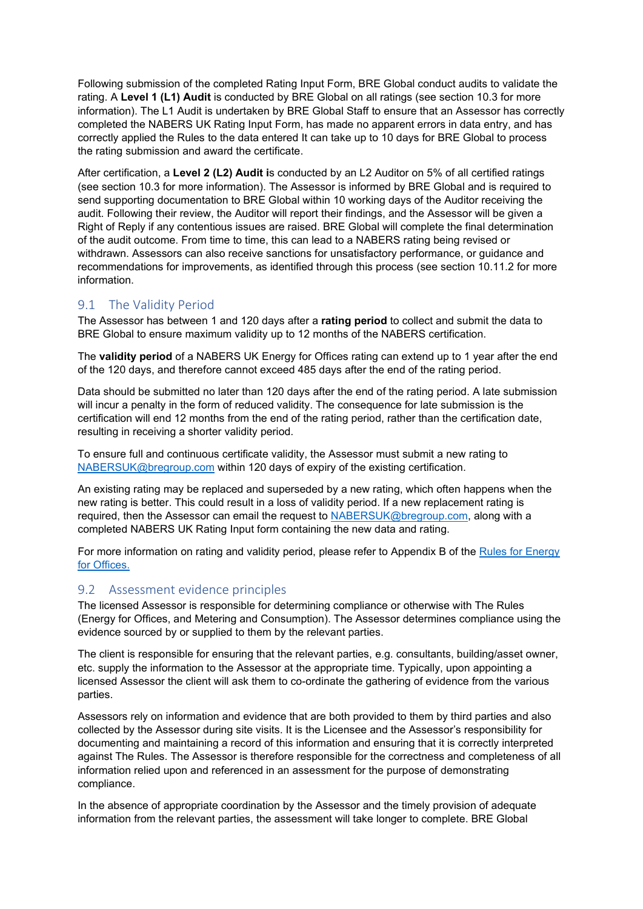Following submission of the completed Rating Input Form, BRE Global conduct audits to validate the rating. A **Level 1 (L1) Audit** is conducted by BRE Global on all ratings (see section [10.3](#page-24-0) for more information). The L1 Audit is undertaken by BRE Global Staff to ensure that an Assessor has correctly completed the NABERS UK Rating Input Form, has made no apparent errors in data entry, and has correctly applied the Rules to the data entered It can take up to 10 days for BRE Global to process the rating submission and award the certificate.

After certification, a **Level 2 (L2) Audit i**s conducted by an L2 Auditor on 5% of all certified ratings (see section [10.3](#page-24-0) for more information). The Assessor is informed by BRE Global and is required to send supporting documentation to BRE Global within 10 working days of the Auditor receiving the audit. Following their review, the Auditor will report their findings, and the Assessor will be given a Right of Reply if any contentious issues are raised. BRE Global will complete the final determination of the audit outcome. From time to time, this can lead to a NABERS rating being revised or withdrawn. Assessors can also receive sanctions for unsatisfactory performance, or guidance and recommendations for improvements, as identified through this process (see section 10.11.2 for more information.

## 9.1 The Validity Period

The Assessor has between 1 and 120 days after a **rating period** to collect and submit the data to BRE Global to ensure maximum validity up to 12 months of the NABERS certification.

The **validity period** of a NABERS UK Energy for Offices rating can extend up to 1 year after the end of the 120 days, and therefore cannot exceed 485 days after the end of the rating period.

Data should be submitted no later than 120 days after the end of the rating period. A late submission will incur a penalty in the form of reduced validity. The consequence for late submission is the certification will end 12 months from the end of the rating period, rather than the certification date, resulting in receiving a shorter validity period.

To ensure full and continuous certificate validity, the Assessor must submit a new rating to [NABERSUK@bregroup.com](mailto:NABERSUK@bregroup.com) within 120 days of expiry of the existing certification.

An existing rating may be replaced and superseded by a new rating, which often happens when the new rating is better. This could result in a loss of validity period. If a new replacement rating is required, then the Assessor can email the request to [NABERSUK@bregroup.com,](mailto:NABERSUK@bregroup.com) along with a completed NABERS UK Rating Input form containing the new data and rating.

For more information on rating and validity period, please refer to Appendix B of the [Rules for Energy](https://files.bregroup.com/nabers/NABERS_UK_The_Rules_Energy_for_Offices.pdf)  [for Offices.](https://files.bregroup.com/nabers/NABERS_UK_The_Rules_Energy_for_Offices.pdf)

## <span id="page-23-0"></span>9.2 Assessment evidence principles

The licensed Assessor is responsible for determining compliance or otherwise with The Rules (Energy for Offices, and Metering and Consumption). The Assessor determines compliance using the evidence sourced by or supplied to them by the relevant parties.

The client is responsible for ensuring that the relevant parties, e.g. consultants, building/asset owner, etc. supply the information to the Assessor at the appropriate time. Typically, upon appointing a licensed Assessor the client will ask them to co-ordinate the gathering of evidence from the various parties.

Assessors rely on information and evidence that are both provided to them by third parties and also collected by the Assessor during site visits. It is the Licensee and the Assessor's responsibility for documenting and maintaining a record of this information and ensuring that it is correctly interpreted against The Rules. The Assessor is therefore responsible for the correctness and completeness of all information relied upon and referenced in an assessment for the purpose of demonstrating compliance.

In the absence of appropriate coordination by the Assessor and the timely provision of adequate information from the relevant parties, the assessment will take longer to complete. BRE Global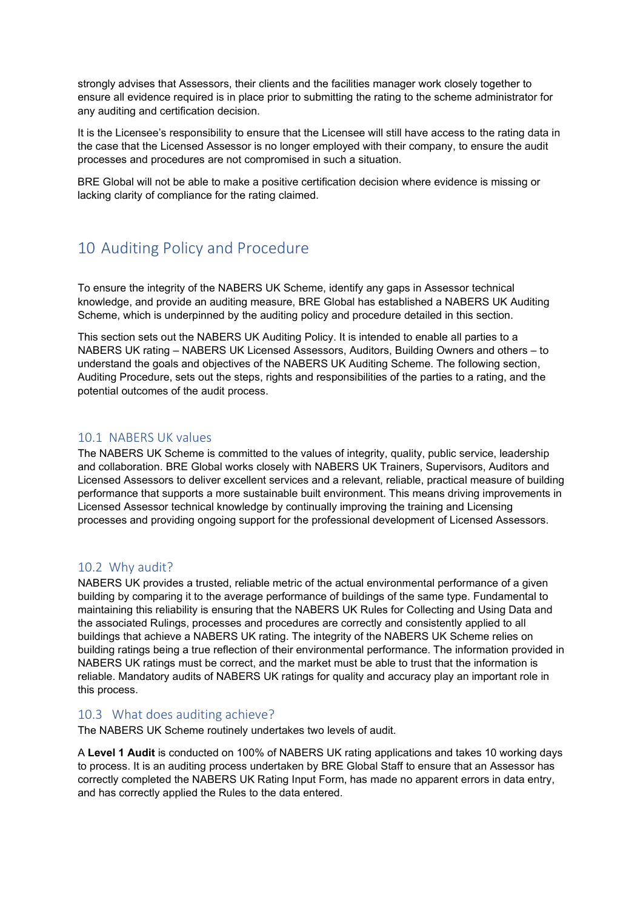strongly advises that Assessors, their clients and the facilities manager work closely together to ensure all evidence required is in place prior to submitting the rating to the scheme administrator for any auditing and certification decision.

It is the Licensee's responsibility to ensure that the Licensee will still have access to the rating data in the case that the Licensed Assessor is no longer employed with their company, to ensure the audit processes and procedures are not compromised in such a situation.

BRE Global will not be able to make a positive certification decision where evidence is missing or lacking clarity of compliance for the rating claimed.

# 10 Auditing Policy and Procedure

To ensure the integrity of the NABERS UK Scheme, identify any gaps in Assessor technical knowledge, and provide an auditing measure, BRE Global has established a NABERS UK Auditing Scheme, which is underpinned by the auditing policy and procedure detailed in this section.

This section sets out the NABERS UK Auditing Policy. It is intended to enable all parties to a NABERS UK rating – NABERS UK Licensed Assessors, Auditors, Building Owners and others – to understand the goals and objectives of the NABERS UK Auditing Scheme. The following section, Auditing Procedure, sets out the steps, rights and responsibilities of the parties to a rating, and the potential outcomes of the audit process.

## 10.1 NABERS UK values

The NABERS UK Scheme is committed to the values of integrity, quality, public service, leadership and collaboration. BRE Global works closely with NABERS UK Trainers, Supervisors, Auditors and Licensed Assessors to deliver excellent services and a relevant, reliable, practical measure of building performance that supports a more sustainable built environment. This means driving improvements in Licensed Assessor technical knowledge by continually improving the training and Licensing processes and providing ongoing support for the professional development of Licensed Assessors.

## 10.2 Why audit?

NABERS UK provides a trusted, reliable metric of the actual environmental performance of a given building by comparing it to the average performance of buildings of the same type. Fundamental to maintaining this reliability is ensuring that the NABERS UK Rules for Collecting and Using Data and the associated Rulings, processes and procedures are correctly and consistently applied to all buildings that achieve a NABERS UK rating. The integrity of the NABERS UK Scheme relies on building ratings being a true reflection of their environmental performance. The information provided in NABERS UK ratings must be correct, and the market must be able to trust that the information is reliable. Mandatory audits of NABERS UK ratings for quality and accuracy play an important role in this process.

## <span id="page-24-0"></span>10.3 What does auditing achieve?

The NABERS UK Scheme routinely undertakes two levels of audit.

A **Level 1 Audit** is conducted on 100% of NABERS UK rating applications and takes 10 working days to process. It is an auditing process undertaken by BRE Global Staff to ensure that an Assessor has correctly completed the NABERS UK Rating Input Form, has made no apparent errors in data entry, and has correctly applied the Rules to the data entered.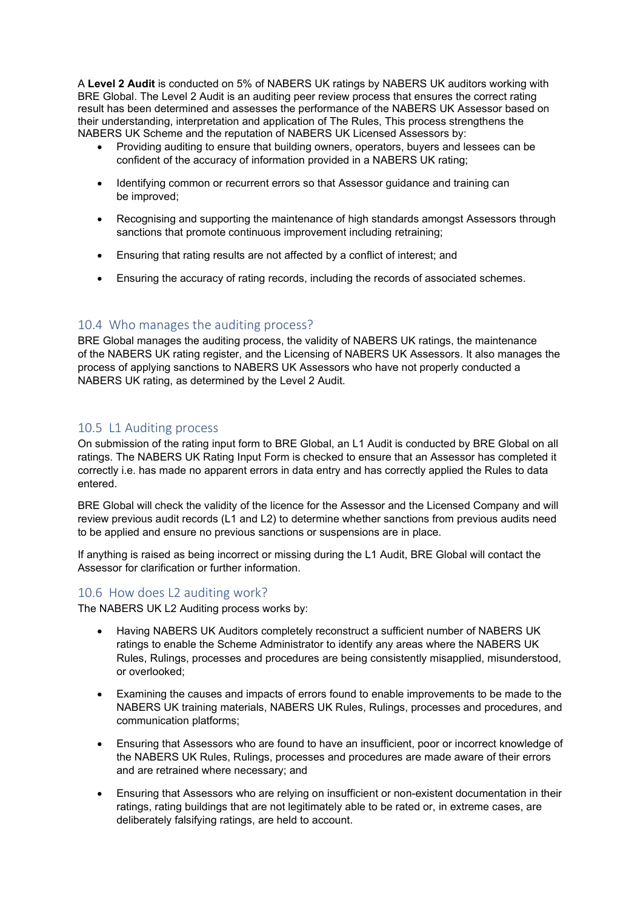A **Level 2 Audit** is conducted on 5% of NABERS UK ratings by NABERS UK auditors working with BRE Global. The Level 2 Audit is an auditing peer review process that ensures the correct rating result has been determined and assesses the performance of the NABERS UK Assessor based on their understanding, interpretation and application of The Rules, This process strengthens the NABERS UK Scheme and the reputation of NABERS UK Licensed Assessors by:

- Providing auditing to ensure that building owners, operators, buyers and lessees can be confident of the accuracy of information provided in a NABERS UK rating;
- Identifying common or recurrent errors so that Assessor guidance and training can be improved;
- Recognising and supporting the maintenance of high standards amongst Assessors through sanctions that promote continuous improvement including retraining;
- Ensuring that rating results are not affected by a conflict of interest; and
- Ensuring the accuracy of rating records, including the records of associated schemes.

## 10.4 Who manages the auditing process?

BRE Global manages the auditing process, the validity of NABERS UK ratings, the maintenance of the NABERS UK rating register, and the Licensing of NABERS UK Assessors. It also manages the process of applying sanctions to NABERS UK Assessors who have not properly conducted a NABERS UK rating, as determined by the Level 2 Audit.

## 10.5 L1 Auditing process

On submission of the rating input form to BRE Global, an L1 Audit is conducted by BRE Global on all ratings. The NABERS UK Rating Input Form is checked to ensure that an Assessor has completed it correctly i.e. has made no apparent errors in data entry and has correctly applied the Rules to data entered.

BRE Global will check the validity of the licence for the Assessor and the Licensed Company and will review previous audit records (L1 and L2) to determine whether sanctions from previous audits need to be applied and ensure no previous sanctions or suspensions are in place.

If anything is raised as being incorrect or missing during the L1 Audit, BRE Global will contact the Assessor for clarification or further information.

#### 10.6 How does L2 auditing work?

The NABERS UK L2 Auditing process works by:

- Having NABERS UK Auditors completely reconstruct a sufficient number of NABERS UK ratings to enable the Scheme Administrator to identify any areas where the NABERS UK Rules, Rulings, processes and procedures are being consistently misapplied, misunderstood, or overlooked;
- Examining the causes and impacts of errors found to enable improvements to be made to the NABERS UK training materials, NABERS UK Rules, Rulings, processes and procedures, and communication platforms;
- Ensuring that Assessors who are found to have an insufficient, poor or incorrect knowledge of the NABERS UK Rules, Rulings, processes and procedures are made aware of their errors and are retrained where necessary; and
- Ensuring that Assessors who are relying on insufficient or non-existent documentation in their ratings, rating buildings that are not legitimately able to be rated or, in extreme cases, are deliberately falsifying ratings, are held to account.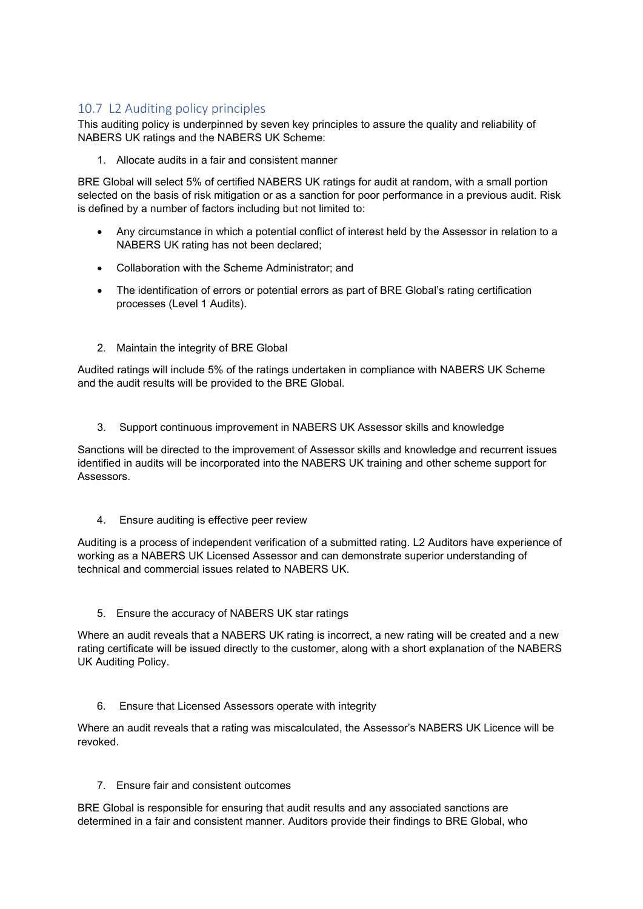# 10.7 L2 Auditing policy principles

This auditing policy is underpinned by seven key principles to assure the quality and reliability of NABERS UK ratings and the NABERS UK Scheme:

1. Allocate audits in a fair and consistent manner

BRE Global will select 5% of certified NABERS UK ratings for audit at random, with a small portion selected on the basis of risk mitigation or as a sanction for poor performance in a previous audit. Risk is defined by a number of factors including but not limited to:

- Any circumstance in which a potential conflict of interest held by the Assessor in relation to a NABERS UK rating has not been declared;
- Collaboration with the Scheme Administrator; and
- The identification of errors or potential errors as part of BRE Global's rating certification processes (Level 1 Audits).
- 2. Maintain the integrity of BRE Global

Audited ratings will include 5% of the ratings undertaken in compliance with NABERS UK Scheme and the audit results will be provided to the BRE Global.

3. Support continuous improvement in NABERS UK Assessor skills and knowledge

Sanctions will be directed to the improvement of Assessor skills and knowledge and recurrent issues identified in audits will be incorporated into the NABERS UK training and other scheme support for Assessors.

4. Ensure auditing is effective peer review

Auditing is a process of independent verification of a submitted rating. L2 Auditors have experience of working as a NABERS UK Licensed Assessor and can demonstrate superior understanding of technical and commercial issues related to NABERS UK.

5. Ensure the accuracy of NABERS UK star ratings

Where an audit reveals that a NABERS UK rating is incorrect, a new rating will be created and a new rating certificate will be issued directly to the customer, along with a short explanation of the NABERS UK Auditing Policy.

6. Ensure that Licensed Assessors operate with integrity

Where an audit reveals that a rating was miscalculated, the Assessor's NABERS UK Licence will be revoked.

7. Ensure fair and consistent outcomes

BRE Global is responsible for ensuring that audit results and any associated sanctions are determined in a fair and consistent manner. Auditors provide their findings to BRE Global, who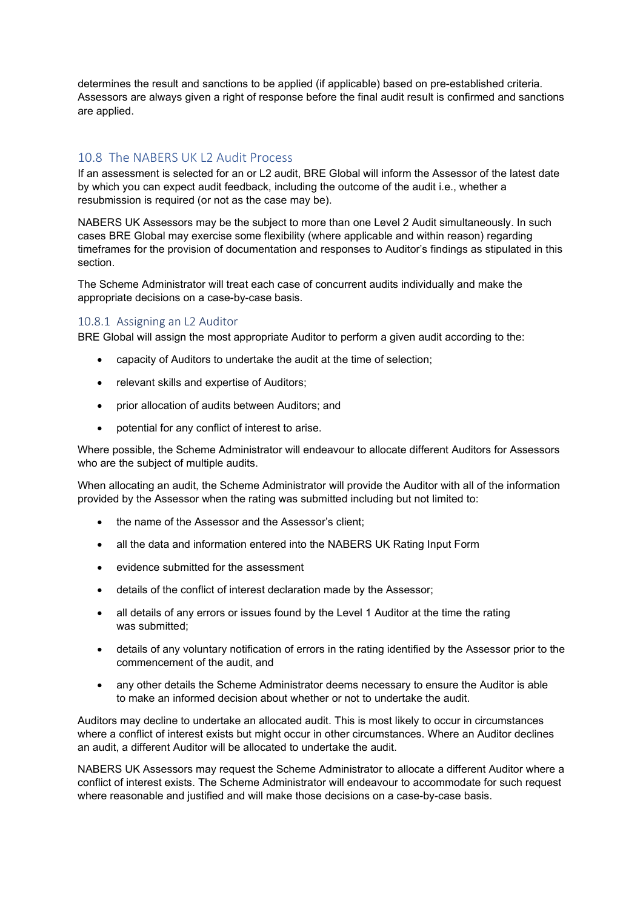determines the result and sanctions to be applied (if applicable) based on pre-established criteria. Assessors are always given a right of response before the final audit result is confirmed and sanctions are applied.

## 10.8 The NABERS UK L2 Audit Process

If an assessment is selected for an or L2 audit, BRE Global will inform the Assessor of the latest date by which you can expect audit feedback, including the outcome of the audit i.e., whether a resubmission is required (or not as the case may be).

NABERS UK Assessors may be the subject to more than one Level 2 Audit simultaneously. In such cases BRE Global may exercise some flexibility (where applicable and within reason) regarding timeframes for the provision of documentation and responses to Auditor's findings as stipulated in this section.

The Scheme Administrator will treat each case of concurrent audits individually and make the appropriate decisions on a case-by-case basis.

#### 10.8.1 Assigning an L2 Auditor

BRE Global will assign the most appropriate Auditor to perform a given audit according to the:

- capacity of Auditors to undertake the audit at the time of selection;
- relevant skills and expertise of Auditors;
- prior allocation of audits between Auditors; and
- potential for any conflict of interest to arise.

Where possible, the Scheme Administrator will endeavour to allocate different Auditors for Assessors who are the subject of multiple audits.

When allocating an audit, the Scheme Administrator will provide the Auditor with all of the information provided by the Assessor when the rating was submitted including but not limited to:

- the name of the Assessor and the Assessor's client;
- all the data and information entered into the NABERS UK Rating Input Form
- evidence submitted for the assessment
- details of the conflict of interest declaration made by the Assessor;
- all details of any errors or issues found by the Level 1 Auditor at the time the rating was submitted;
- details of any voluntary notification of errors in the rating identified by the Assessor prior to the commencement of the audit, and
- any other details the Scheme Administrator deems necessary to ensure the Auditor is able to make an informed decision about whether or not to undertake the audit.

Auditors may decline to undertake an allocated audit. This is most likely to occur in circumstances where a conflict of interest exists but might occur in other circumstances. Where an Auditor declines an audit, a different Auditor will be allocated to undertake the audit.

NABERS UK Assessors may request the Scheme Administrator to allocate a different Auditor where a conflict of interest exists. The Scheme Administrator will endeavour to accommodate for such request where reasonable and justified and will make those decisions on a case-by-case basis.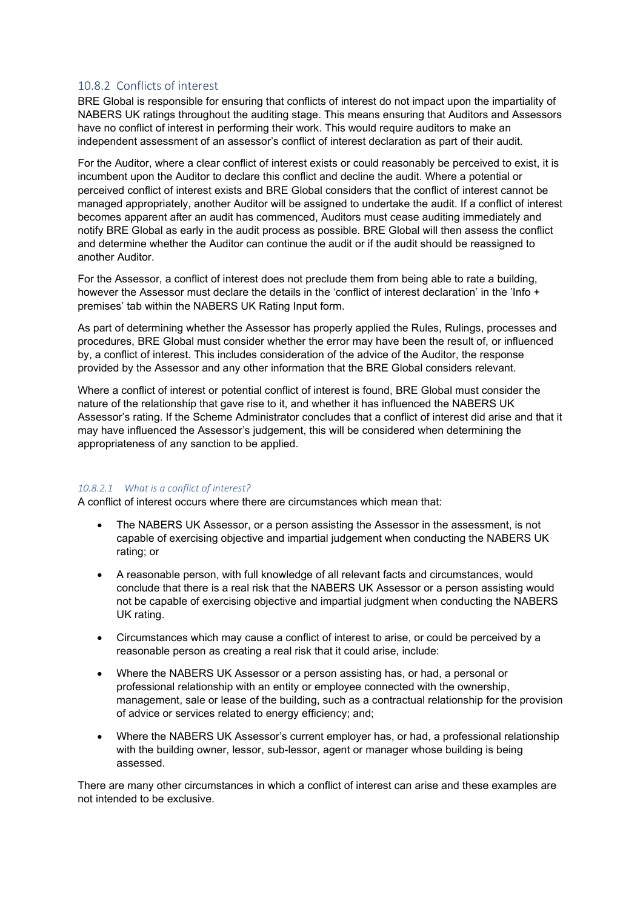#### 10.8.2 Conflicts of interest

BRE Global is responsible for ensuring that conflicts of interest do not impact upon the impartiality of NABERS UK ratings throughout the auditing stage. This means ensuring that Auditors and Assessors have no conflict of interest in performing their work. This would require auditors to make an independent assessment of an assessor's conflict of interest declaration as part of their audit.

For the Auditor, where a clear conflict of interest exists or could reasonably be perceived to exist, it is incumbent upon the Auditor to declare this conflict and decline the audit. Where a potential or perceived conflict of interest exists and BRE Global considers that the conflict of interest cannot be managed appropriately, another Auditor will be assigned to undertake the audit. If a conflict of interest becomes apparent after an audit has commenced, Auditors must cease auditing immediately and notify BRE Global as early in the audit process as possible. BRE Global will then assess the conflict and determine whether the Auditor can continue the audit or if the audit should be reassigned to another Auditor.

For the Assessor, a conflict of interest does not preclude them from being able to rate a building, however the Assessor must declare the details in the 'conflict of interest declaration' in the 'Info + premises' tab within the NABERS UK Rating Input form.

As part of determining whether the Assessor has properly applied the Rules, Rulings, processes and procedures, BRE Global must consider whether the error may have been the result of, or influenced by, a conflict of interest. This includes consideration of the advice of the Auditor, the response provided by the Assessor and any other information that the BRE Global considers relevant.

Where a conflict of interest or potential conflict of interest is found, BRE Global must consider the nature of the relationship that gave rise to it, and whether it has influenced the NABERS UK Assessor's rating. If the Scheme Administrator concludes that a conflict of interest did arise and that it may have influenced the Assessor's judgement, this will be considered when determining the appropriateness of any sanction to be applied.

#### *10.8.2.1 What is a conflict of interest?*

A conflict of interest occurs where there are circumstances which mean that:

- The NABERS UK Assessor, or a person assisting the Assessor in the assessment, is not capable of exercising objective and impartial judgement when conducting the NABERS UK rating; or
- A reasonable person, with full knowledge of all relevant facts and circumstances, would conclude that there is a real risk that the NABERS UK Assessor or a person assisting would not be capable of exercising objective and impartial judgment when conducting the NABERS UK rating.
- Circumstances which may cause a conflict of interest to arise, or could be perceived by a reasonable person as creating a real risk that it could arise, include:
- Where the NABERS UK Assessor or a person assisting has, or had, a personal or professional relationship with an entity or employee connected with the ownership, management, sale or lease of the building, such as a contractual relationship for the provision of advice or services related to energy efficiency; and;
- Where the NABERS UK Assessor's current employer has, or had, a professional relationship with the building owner, lessor, sub-lessor, agent or manager whose building is being assessed.

There are many other circumstances in which a conflict of interest can arise and these examples are not intended to be exclusive.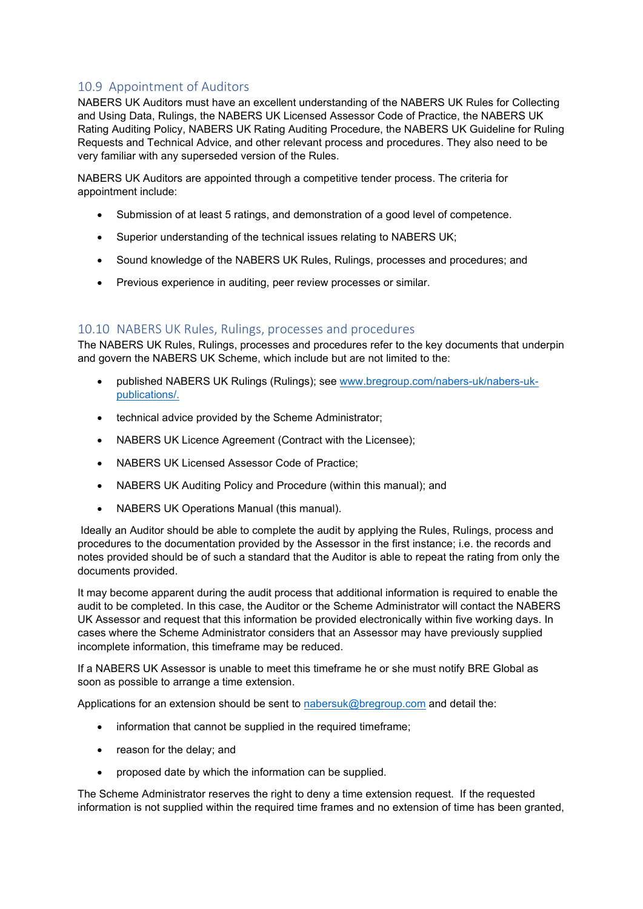# 10.9 Appointment of Auditors

NABERS UK Auditors must have an excellent understanding of the NABERS UK Rules for Collecting and Using Data, Rulings, the NABERS UK Licensed Assessor Code of Practice, the NABERS UK Rating Auditing Policy, NABERS UK Rating Auditing Procedure, the NABERS UK Guideline for Ruling Requests and Technical Advice, and other relevant process and procedures. They also need to be very familiar with any superseded version of the Rules.

NABERS UK Auditors are appointed through a competitive tender process. The criteria for appointment include:

- Submission of at least 5 ratings, and demonstration of a good level of competence.
- Superior understanding of the technical issues relating to NABERS UK;
- Sound knowledge of the NABERS UK Rules, Rulings, processes and procedures; and
- Previous experience in auditing, peer review processes or similar.

## 10.10 NABERS UK Rules, Rulings, processes and procedures

The NABERS UK Rules, Rulings, processes and procedures refer to the key documents that underpin and govern the NABERS UK Scheme, which include but are not limited to the:

- published NABERS UK Rulings (Rulings); see [www.bregroup.com/nabers-uk/nabers-uk](https://bretrust.sharepoint.com/sites/NABERSUK/Shared%20Documents/Training%20and%20Accreditation/NABERS%20UK%20Accreditation%20and%20Audit%20Docs/www.bregroup.com/nabers-uk/nabers-uk-publications)[publications/.](https://bretrust.sharepoint.com/sites/NABERSUK/Shared%20Documents/Training%20and%20Accreditation/NABERS%20UK%20Accreditation%20and%20Audit%20Docs/www.bregroup.com/nabers-uk/nabers-uk-publications)
- technical advice provided by the Scheme Administrator;
- NABERS UK Licence Agreement (Contract with the Licensee);
- NABERS UK Licensed Assessor Code of Practice;
- NABERS UK Auditing Policy and Procedure (within this manual); and
- NABERS UK Operations Manual (this manual).

Ideally an Auditor should be able to complete the audit by applying the Rules, Rulings, process and procedures to the documentation provided by the Assessor in the first instance; i.e. the records and notes provided should be of such a standard that the Auditor is able to repeat the rating from only the documents provided.

It may become apparent during the audit process that additional information is required to enable the audit to be completed. In this case, the Auditor or the Scheme Administrator will contact the NABERS UK Assessor and request that this information be provided electronically within five working days. In cases where the Scheme Administrator considers that an Assessor may have previously supplied incomplete information, this timeframe may be reduced.

If a NABERS UK Assessor is unable to meet this timeframe he or she must notify BRE Global as soon as possible to arrange a time extension.

Applications for an extension should be sent to [nabersuk@bregroup.com](mailto:nabersuk@bregroup.com) and detail the:

- information that cannot be supplied in the required timeframe;
- reason for the delay; and
- proposed date by which the information can be supplied.

The Scheme Administrator reserves the right to deny a time extension request. If the requested information is not supplied within the required time frames and no extension of time has been granted,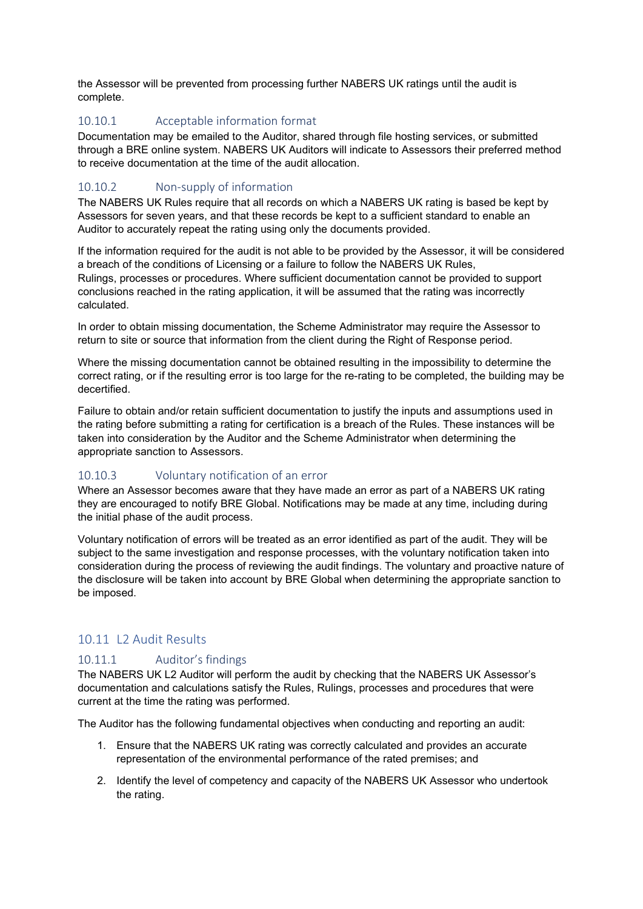the Assessor will be prevented from processing further NABERS UK ratings until the audit is complete.

## 10.10.1 Acceptable information format

Documentation may be emailed to the Auditor, shared through file hosting services, or submitted through a BRE online system. NABERS UK Auditors will indicate to Assessors their preferred method to receive documentation at the time of the audit allocation.

## 10.10.2 Non-supply of information

The NABERS UK Rules require that all records on which a NABERS UK rating is based be kept by Assessors for seven years, and that these records be kept to a sufficient standard to enable an Auditor to accurately repeat the rating using only the documents provided.

If the information required for the audit is not able to be provided by the Assessor, it will be considered a breach of the conditions of Licensing or a failure to follow the NABERS UK Rules, Rulings, processes or procedures. Where sufficient documentation cannot be provided to support conclusions reached in the rating application, it will be assumed that the rating was incorrectly calculated.

In order to obtain missing documentation, the Scheme Administrator may require the Assessor to return to site or source that information from the client during the Right of Response period.

Where the missing documentation cannot be obtained resulting in the impossibility to determine the correct rating, or if the resulting error is too large for the re-rating to be completed, the building may be decertified.

Failure to obtain and/or retain sufficient documentation to justify the inputs and assumptions used in the rating before submitting a rating for certification is a breach of the Rules. These instances will be taken into consideration by the Auditor and the Scheme Administrator when determining the appropriate sanction to Assessors.

## 10.10.3 Voluntary notification of an error

Where an Assessor becomes aware that they have made an error as part of a NABERS UK rating they are encouraged to notify BRE Global. Notifications may be made at any time, including during the initial phase of the audit process.

Voluntary notification of errors will be treated as an error identified as part of the audit. They will be subject to the same investigation and response processes, with the voluntary notification taken into consideration during the process of reviewing the audit findings. The voluntary and proactive nature of the disclosure will be taken into account by BRE Global when determining the appropriate sanction to be imposed.

# 10.11 L2 Audit Results

## 10.11.1 Auditor's findings

The NABERS UK L2 Auditor will perform the audit by checking that the NABERS UK Assessor's documentation and calculations satisfy the Rules, Rulings, processes and procedures that were current at the time the rating was performed.

The Auditor has the following fundamental objectives when conducting and reporting an audit:

- 1. Ensure that the NABERS UK rating was correctly calculated and provides an accurate representation of the environmental performance of the rated premises; and
- 2. Identify the level of competency and capacity of the NABERS UK Assessor who undertook the rating.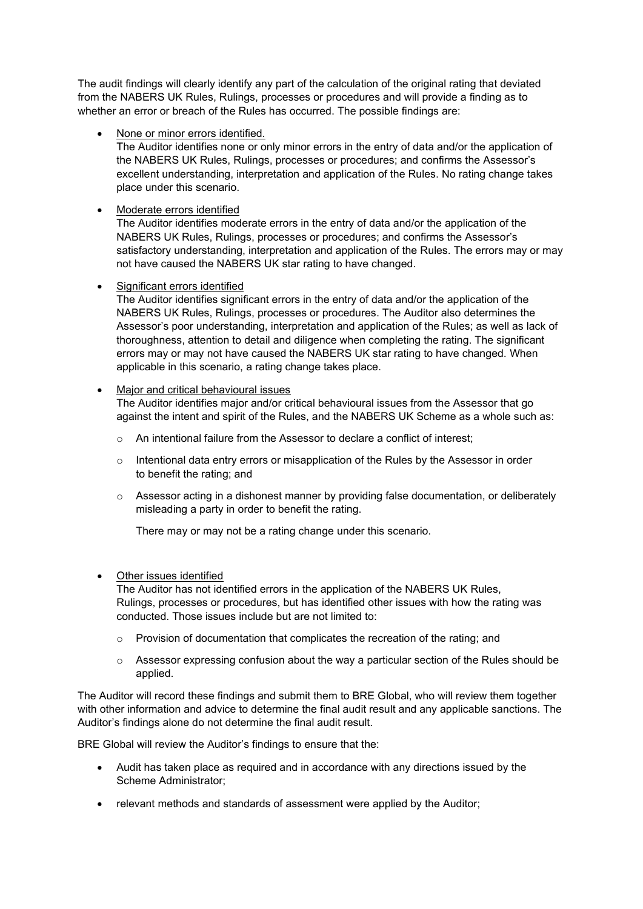The audit findings will clearly identify any part of the calculation of the original rating that deviated from the NABERS UK Rules, Rulings, processes or procedures and will provide a finding as to whether an error or breach of the Rules has occurred. The possible findings are:

• None or minor errors identified.

The Auditor identifies none or only minor errors in the entry of data and/or the application of the NABERS UK Rules, Rulings, processes or procedures; and confirms the Assessor's excellent understanding, interpretation and application of the Rules. No rating change takes place under this scenario.

• Moderate errors identified

The Auditor identifies moderate errors in the entry of data and/or the application of the NABERS UK Rules, Rulings, processes or procedures; and confirms the Assessor's satisfactory understanding, interpretation and application of the Rules. The errors may or may not have caused the NABERS UK star rating to have changed.

#### Significant errors identified

The Auditor identifies significant errors in the entry of data and/or the application of the NABERS UK Rules, Rulings, processes or procedures. The Auditor also determines the Assessor's poor understanding, interpretation and application of the Rules; as well as lack of thoroughness, attention to detail and diligence when completing the rating. The significant errors may or may not have caused the NABERS UK star rating to have changed. When applicable in this scenario, a rating change takes place.

#### • Major and critical behavioural issues

The Auditor identifies major and/or critical behavioural issues from the Assessor that go against the intent and spirit of the Rules, and the NABERS UK Scheme as a whole such as:

- o An intentional failure from the Assessor to declare a conflict of interest;
- $\circ$  Intentional data entry errors or misapplication of the Rules by the Assessor in order to benefit the rating; and
- $\circ$  Assessor acting in a dishonest manner by providing false documentation, or deliberately misleading a party in order to benefit the rating.

There may or may not be a rating change under this scenario.

#### • Other issues identified

The Auditor has not identified errors in the application of the NABERS UK Rules, Rulings, processes or procedures, but has identified other issues with how the rating was conducted. Those issues include but are not limited to:

- o Provision of documentation that complicates the recreation of the rating; and
- $\circ$  Assessor expressing confusion about the way a particular section of the Rules should be applied.

The Auditor will record these findings and submit them to BRE Global, who will review them together with other information and advice to determine the final audit result and any applicable sanctions. The Auditor's findings alone do not determine the final audit result.

BRE Global will review the Auditor's findings to ensure that the:

- Audit has taken place as required and in accordance with any directions issued by the Scheme Administrator;
- relevant methods and standards of assessment were applied by the Auditor;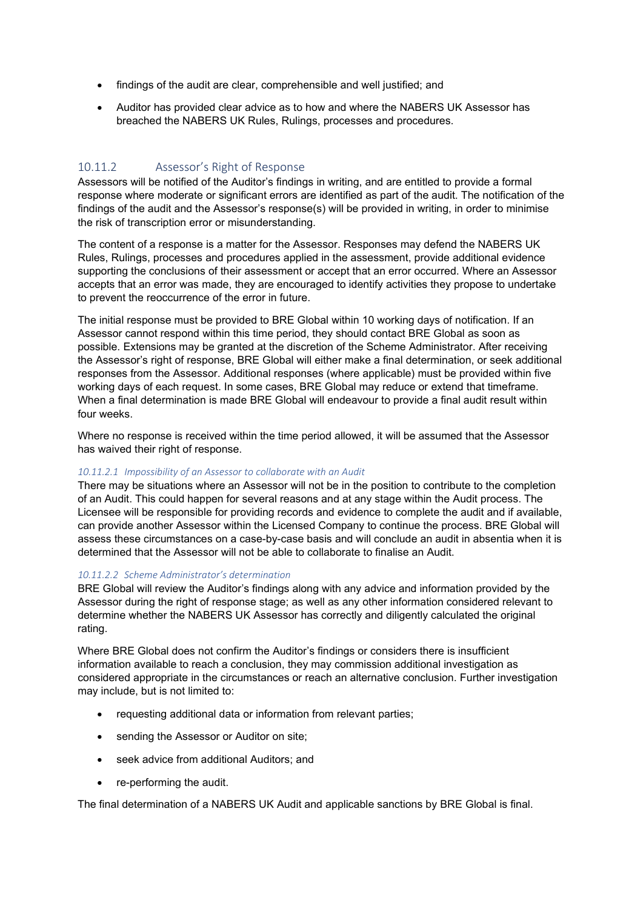- findings of the audit are clear, comprehensible and well justified; and
- Auditor has provided clear advice as to how and where the NABERS UK Assessor has breached the NABERS UK Rules, Rulings, processes and procedures.

## 10.11.2 Assessor's Right of Response

Assessors will be notified of the Auditor's findings in writing, and are entitled to provide a formal response where moderate or significant errors are identified as part of the audit. The notification of the findings of the audit and the Assessor's response(s) will be provided in writing, in order to minimise the risk of transcription error or misunderstanding.

The content of a response is a matter for the Assessor. Responses may defend the NABERS UK Rules, Rulings, processes and procedures applied in the assessment, provide additional evidence supporting the conclusions of their assessment or accept that an error occurred. Where an Assessor accepts that an error was made, they are encouraged to identify activities they propose to undertake to prevent the reoccurrence of the error in future.

The initial response must be provided to BRE Global within 10 working days of notification. If an Assessor cannot respond within this time period, they should contact BRE Global as soon as possible. Extensions may be granted at the discretion of the Scheme Administrator. After receiving the Assessor's right of response, BRE Global will either make a final determination, or seek additional responses from the Assessor. Additional responses (where applicable) must be provided within five working days of each request. In some cases, BRE Global may reduce or extend that timeframe. When a final determination is made BRE Global will endeavour to provide a final audit result within four weeks.

Where no response is received within the time period allowed, it will be assumed that the Assessor has waived their right of response.

#### *10.11.2.1 Impossibility of an Assessor to collaborate with an Audit*

There may be situations where an Assessor will not be in the position to contribute to the completion of an Audit. This could happen for several reasons and at any stage within the Audit process. The Licensee will be responsible for providing records and evidence to complete the audit and if available, can provide another Assessor within the Licensed Company to continue the process. BRE Global will assess these circumstances on a case-by-case basis and will conclude an audit in absentia when it is determined that the Assessor will not be able to collaborate to finalise an Audit.

#### *10.11.2.2 Scheme Administrator's determination*

BRE Global will review the Auditor's findings along with any advice and information provided by the Assessor during the right of response stage; as well as any other information considered relevant to determine whether the NABERS UK Assessor has correctly and diligently calculated the original rating.

Where BRE Global does not confirm the Auditor's findings or considers there is insufficient information available to reach a conclusion, they may commission additional investigation as considered appropriate in the circumstances or reach an alternative conclusion. Further investigation may include, but is not limited to:

- requesting additional data or information from relevant parties;
- sending the Assessor or Auditor on site;
- seek advice from additional Auditors; and
- re-performing the audit.

The final determination of a NABERS UK Audit and applicable sanctions by BRE Global is final.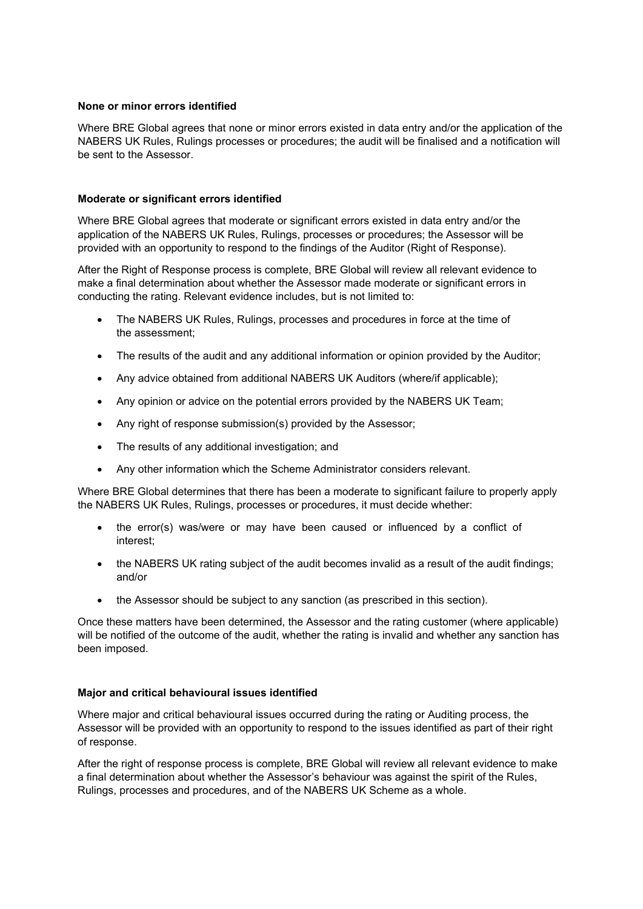#### **None or minor errors identified**

Where BRE Global agrees that none or minor errors existed in data entry and/or the application of the NABERS UK Rules, Rulings processes or procedures; the audit will be finalised and a notification will be sent to the Assessor.

#### **Moderate or significant errors identified**

Where BRE Global agrees that moderate or significant errors existed in data entry and/or the application of the NABERS UK Rules, Rulings, processes or procedures; the Assessor will be provided with an opportunity to respond to the findings of the Auditor (Right of Response).

After the Right of Response process is complete, BRE Global will review all relevant evidence to make a final determination about whether the Assessor made moderate or significant errors in conducting the rating. Relevant evidence includes, but is not limited to:

- The NABERS UK Rules, Rulings, processes and procedures in force at the time of the assessment;
- The results of the audit and any additional information or opinion provided by the Auditor;
- Any advice obtained from additional NABERS UK Auditors (where/if applicable);
- Any opinion or advice on the potential errors provided by the NABERS UK Team;
- Any right of response submission(s) provided by the Assessor;
- The results of any additional investigation; and
- Any other information which the Scheme Administrator considers relevant.

Where BRE Global determines that there has been a moderate to significant failure to properly apply the NABERS UK Rules, Rulings, processes or procedures, it must decide whether:

- the error(s) was/were or may have been caused or influenced by a conflict of interest;
- the NABERS UK rating subject of the audit becomes invalid as a result of the audit findings; and/or
- the Assessor should be subject to any sanction (as prescribed in this section).

Once these matters have been determined, the Assessor and the rating customer (where applicable) will be notified of the outcome of the audit, whether the rating is invalid and whether any sanction has been imposed.

#### **Major and critical behavioural issues identified**

Where major and critical behavioural issues occurred during the rating or Auditing process, the Assessor will be provided with an opportunity to respond to the issues identified as part of their right of response.

After the right of response process is complete, BRE Global will review all relevant evidence to make a final determination about whether the Assessor's behaviour was against the spirit of the Rules, Rulings, processes and procedures, and of the NABERS UK Scheme as a whole.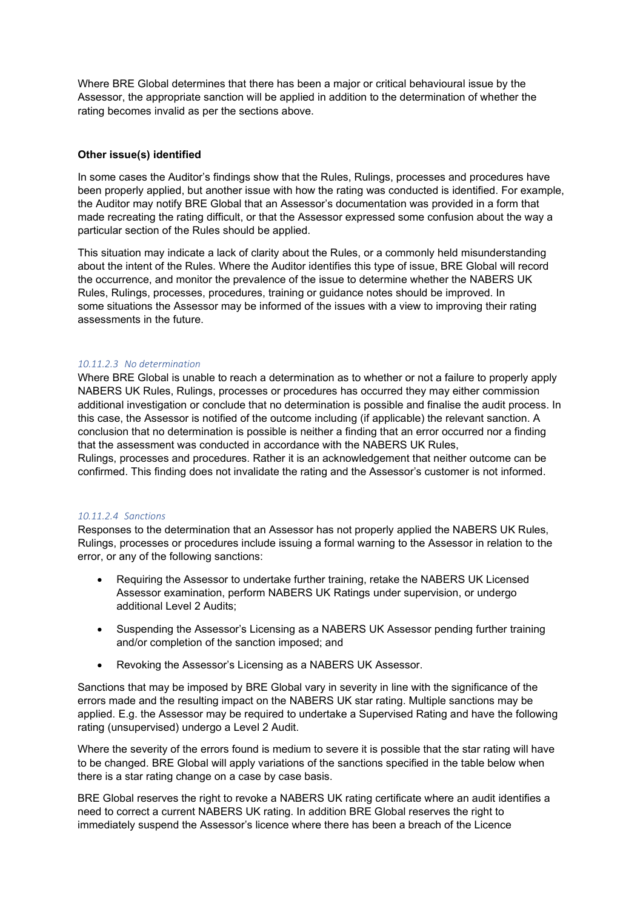Where BRE Global determines that there has been a major or critical behavioural issue by the Assessor, the appropriate sanction will be applied in addition to the determination of whether the rating becomes invalid as per the sections above.

#### **Other issue(s) identified**

In some cases the Auditor's findings show that the Rules, Rulings, processes and procedures have been properly applied, but another issue with how the rating was conducted is identified. For example, the Auditor may notify BRE Global that an Assessor's documentation was provided in a form that made recreating the rating difficult, or that the Assessor expressed some confusion about the way a particular section of the Rules should be applied.

This situation may indicate a lack of clarity about the Rules, or a commonly held misunderstanding about the intent of the Rules. Where the Auditor identifies this type of issue, BRE Global will record the occurrence, and monitor the prevalence of the issue to determine whether the NABERS UK Rules, Rulings, processes, procedures, training or guidance notes should be improved. In some situations the Assessor may be informed of the issues with a view to improving their rating assessments in the future.

#### *10.11.2.3 No determination*

Where BRE Global is unable to reach a determination as to whether or not a failure to properly apply NABERS UK Rules, Rulings, processes or procedures has occurred they may either commission additional investigation or conclude that no determination is possible and finalise the audit process. In this case, the Assessor is notified of the outcome including (if applicable) the relevant sanction. A conclusion that no determination is possible is neither a finding that an error occurred nor a finding that the assessment was conducted in accordance with the NABERS UK Rules,

Rulings, processes and procedures. Rather it is an acknowledgement that neither outcome can be confirmed. This finding does not invalidate the rating and the Assessor's customer is not informed.

#### *10.11.2.4 Sanctions*

Responses to the determination that an Assessor has not properly applied the NABERS UK Rules, Rulings, processes or procedures include issuing a formal warning to the Assessor in relation to the error, or any of the following sanctions:

- Requiring the Assessor to undertake further training, retake the NABERS UK Licensed Assessor examination, perform NABERS UK Ratings under supervision, or undergo additional Level 2 Audits;
- Suspending the Assessor's Licensing as a NABERS UK Assessor pending further training and/or completion of the sanction imposed; and
- Revoking the Assessor's Licensing as a NABERS UK Assessor.

Sanctions that may be imposed by BRE Global vary in severity in line with the significance of the errors made and the resulting impact on the NABERS UK star rating. Multiple sanctions may be applied. E.g. the Assessor may be required to undertake a Supervised Rating and have the following rating (unsupervised) undergo a Level 2 Audit.

Where the severity of the errors found is medium to severe it is possible that the star rating will have to be changed. BRE Global will apply variations of the sanctions specified in the table below when there is a star rating change on a case by case basis.

BRE Global reserves the right to revoke a NABERS UK rating certificate where an audit identifies a need to correct a current NABERS UK rating. In addition BRE Global reserves the right to immediately suspend the Assessor's licence where there has been a breach of the Licence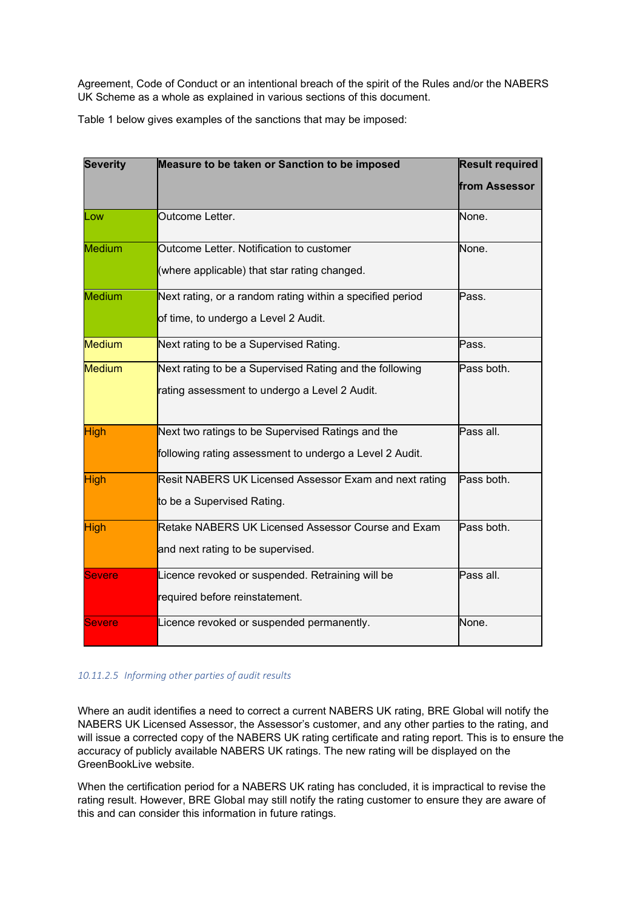Agreement, Code of Conduct or an intentional breach of the spirit of the Rules and/or the NABERS UK Scheme as a whole as explained in various sections of this document.

Table 1 below gives examples of the sanctions that may be imposed:

| <b>Severity</b> | Measure to be taken or Sanction to be imposed                                                                | <b>Result required</b> |  |
|-----------------|--------------------------------------------------------------------------------------------------------------|------------------------|--|
|                 |                                                                                                              | from Assessor          |  |
| Low             | Outcome Letter.                                                                                              | None.                  |  |
| Medium          | Outcome Letter. Notification to customer<br>(where applicable) that star rating changed.                     | None.                  |  |
| <b>Medium</b>   | Next rating, or a random rating within a specified period<br>of time, to undergo a Level 2 Audit.            | Pass.                  |  |
| <b>Medium</b>   | Next rating to be a Supervised Rating.                                                                       | Pass.                  |  |
| <b>Medium</b>   | Next rating to be a Supervised Rating and the following<br>rating assessment to undergo a Level 2 Audit.     | Pass both.             |  |
| <b>High</b>     | Next two ratings to be Supervised Ratings and the<br>following rating assessment to undergo a Level 2 Audit. | Pass all.              |  |
| <b>High</b>     | Resit NABERS UK Licensed Assessor Exam and next rating<br>to be a Supervised Rating.                         | Pass both.             |  |
| <b>High</b>     | Retake NABERS UK Licensed Assessor Course and Exam<br>and next rating to be supervised.                      | Pass both.             |  |
| <b>Severe</b>   | Licence revoked or suspended. Retraining will be<br>required before reinstatement.                           | Pass all.              |  |
| <b>Severe</b>   | Licence revoked or suspended permanently.                                                                    | None.                  |  |

#### *10.11.2.5 Informing other parties of audit results*

Where an audit identifies a need to correct a current NABERS UK rating, BRE Global will notify the NABERS UK Licensed Assessor, the Assessor's customer, and any other parties to the rating, and will issue a corrected copy of the NABERS UK rating certificate and rating report. This is to ensure the accuracy of publicly available NABERS UK ratings. The new rating will be displayed on the GreenBookLive website.

When the certification period for a NABERS UK rating has concluded, it is impractical to revise the rating result. However, BRE Global may still notify the rating customer to ensure they are aware of this and can consider this information in future ratings.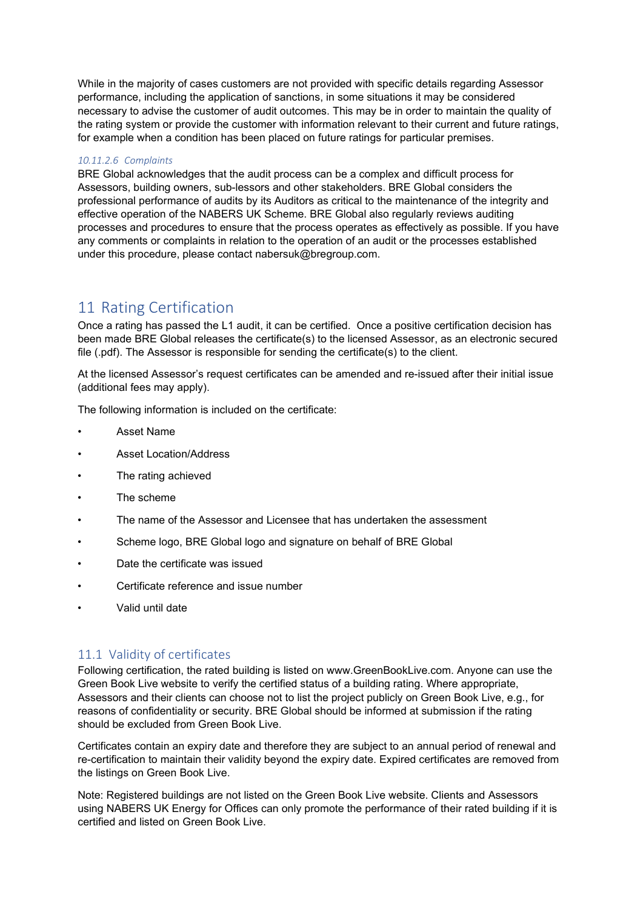While in the majority of cases customers are not provided with specific details regarding Assessor performance, including the application of sanctions, in some situations it may be considered necessary to advise the customer of audit outcomes. This may be in order to maintain the quality of the rating system or provide the customer with information relevant to their current and future ratings, for example when a condition has been placed on future ratings for particular premises.

#### *10.11.2.6 Complaints*

BRE Global acknowledges that the audit process can be a complex and difficult process for Assessors, building owners, sub-lessors and other stakeholders. BRE Global considers the professional performance of audits by its Auditors as critical to the maintenance of the integrity and effective operation of the NABERS UK Scheme. BRE Global also regularly reviews auditing processes and procedures to ensure that the process operates as effectively as possible. If you have any comments or complaints in relation to the operation of an audit or the processes established under this procedure, please contact nabersuk@bregroup.com.

# 11 Rating Certification

Once a rating has passed the L1 audit, it can be certified. Once a positive certification decision has been made BRE Global releases the certificate(s) to the licensed Assessor, as an electronic secured file (.pdf). The Assessor is responsible for sending the certificate(s) to the client.

At the licensed Assessor's request certificates can be amended and re-issued after their initial issue (additional fees may apply).

The following information is included on the certificate:

- Asset Name
- Asset Location/Address
- The rating achieved
- The scheme
- The name of the Assessor and Licensee that has undertaken the assessment
- Scheme logo, BRE Global logo and signature on behalf of BRE Global
- Date the certificate was issued
- Certificate reference and issue number
- Valid until date

## 11.1 Validity of certificates

Following certification, the rated building is listed on www.GreenBookLive.com. Anyone can use the Green Book Live website to verify the certified status of a building rating. Where appropriate, Assessors and their clients can choose not to list the project publicly on Green Book Live, e.g., for reasons of confidentiality or security. BRE Global should be informed at submission if the rating should be excluded from Green Book Live.

Certificates contain an expiry date and therefore they are subject to an annual period of renewal and re-certification to maintain their validity beyond the expiry date. Expired certificates are removed from the listings on Green Book Live.

Note: Registered buildings are not listed on the Green Book Live website. Clients and Assessors using NABERS UK Energy for Offices can only promote the performance of their rated building if it is certified and listed on Green Book Live.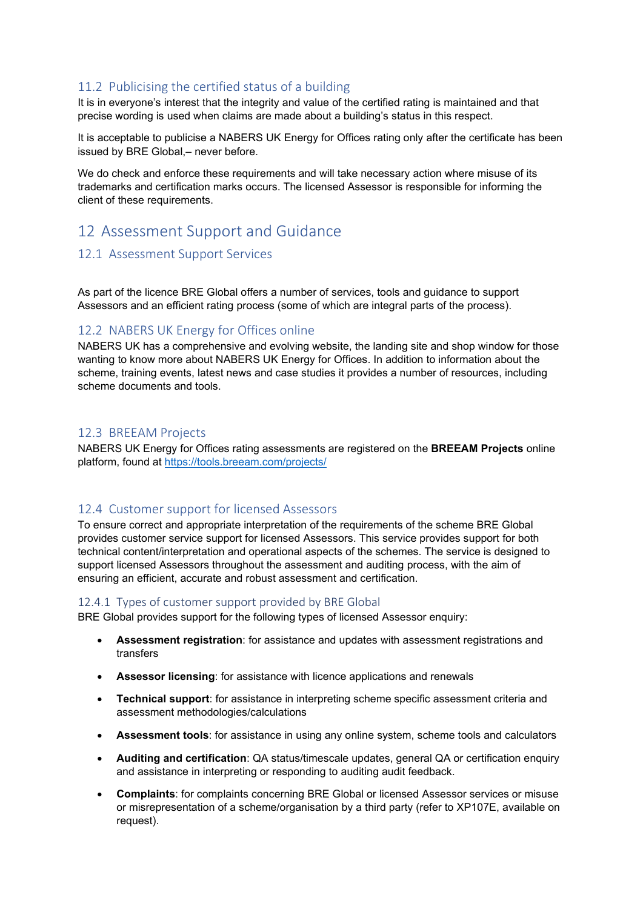# 11.2 Publicising the certified status of a building

It is in everyone's interest that the integrity and value of the certified rating is maintained and that precise wording is used when claims are made about a building's status in this respect.

It is acceptable to publicise a NABERS UK Energy for Offices rating only after the certificate has been issued by BRE Global,– never before.

We do check and enforce these requirements and will take necessary action where misuse of its trademarks and certification marks occurs. The licensed Assessor is responsible for informing the client of these requirements.

# 12 Assessment Support and Guidance

## 12.1 Assessment Support Services

As part of the licence BRE Global offers a number of services, tools and guidance to support Assessors and an efficient rating process (some of which are integral parts of the process).

# 12.2 NABERS UK Energy for Offices online

NABERS UK has a comprehensive and evolving website, the landing site and shop window for those wanting to know more about NABERS UK Energy for Offices. In addition to information about the scheme, training events, latest news and case studies it provides a number of resources, including scheme documents and tools.

#### 12.3 BREEAM Projects

NABERS UK Energy for Offices rating assessments are registered on the **BREEAM Projects** online platform, found at<https://tools.breeam.com/projects/>

# 12.4 Customer support for licensed Assessors

To ensure correct and appropriate interpretation of the requirements of the scheme BRE Global provides customer service support for licensed Assessors. This service provides support for both technical content/interpretation and operational aspects of the schemes. The service is designed to support licensed Assessors throughout the assessment and auditing process, with the aim of ensuring an efficient, accurate and robust assessment and certification.

## 12.4.1 Types of customer support provided by BRE Global

BRE Global provides support for the following types of licensed Assessor enquiry:

- **Assessment registration**: for assistance and updates with assessment registrations and transfers
- **Assessor licensing**: for assistance with licence applications and renewals
- **Technical support**: for assistance in interpreting scheme specific assessment criteria and assessment methodologies/calculations
- **Assessment tools**: for assistance in using any online system, scheme tools and calculators
- **Auditing and certification**: QA status/timescale updates, general QA or certification enquiry and assistance in interpreting or responding to auditing audit feedback.
- **Complaints**: for complaints concerning BRE Global or licensed Assessor services or misuse or misrepresentation of a scheme/organisation by a third party (refer to XP107E, available on request).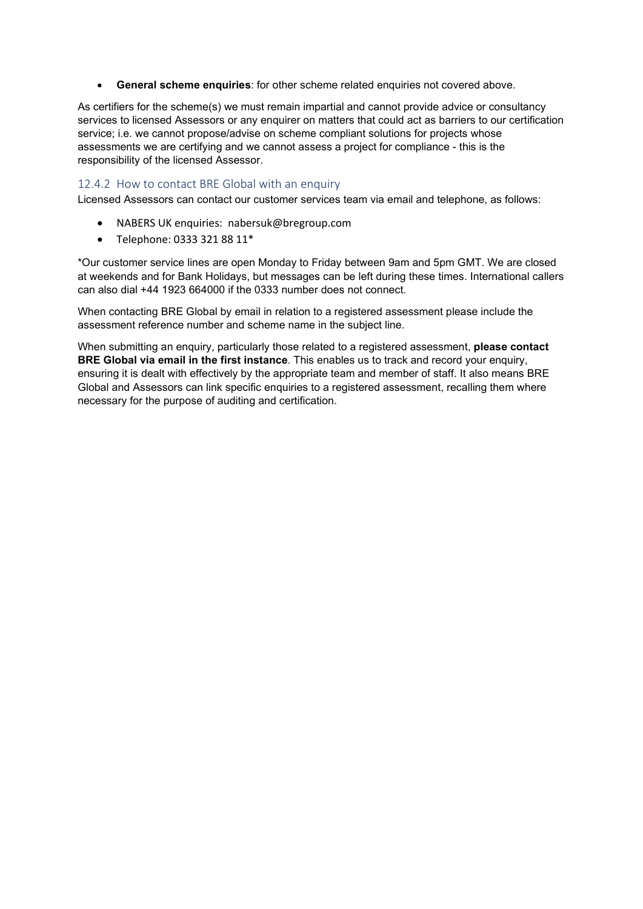• **General scheme enquiries**: for other scheme related enquiries not covered above.

As certifiers for the scheme(s) we must remain impartial and cannot provide advice or consultancy services to licensed Assessors or any enquirer on matters that could act as barriers to our certification service; i.e. we cannot propose/advise on scheme compliant solutions for projects whose assessments we are certifying and we cannot assess a project for compliance - this is the responsibility of the licensed Assessor.

#### 12.4.2 How to contact BRE Global with an enquiry

Licensed Assessors can contact our customer services team via email and telephone, as follows:

- NABERS UK enquiries: nabersuk@bregroup.com
- Telephone: 0333 321 88 11\*

\*Our customer service lines are open Monday to Friday between 9am and 5pm GMT. We are closed at weekends and for Bank Holidays, but messages can be left during these times. International callers can also dial +44 1923 664000 if the 0333 number does not connect.

When contacting BRE Global by email in relation to a registered assessment please include the assessment reference number and scheme name in the subject line.

When submitting an enquiry, particularly those related to a registered assessment, **please contact BRE Global via email in the first instance**. This enables us to track and record your enquiry, ensuring it is dealt with effectively by the appropriate team and member of staff. It also means BRE Global and Assessors can link specific enquiries to a registered assessment, recalling them where necessary for the purpose of auditing and certification.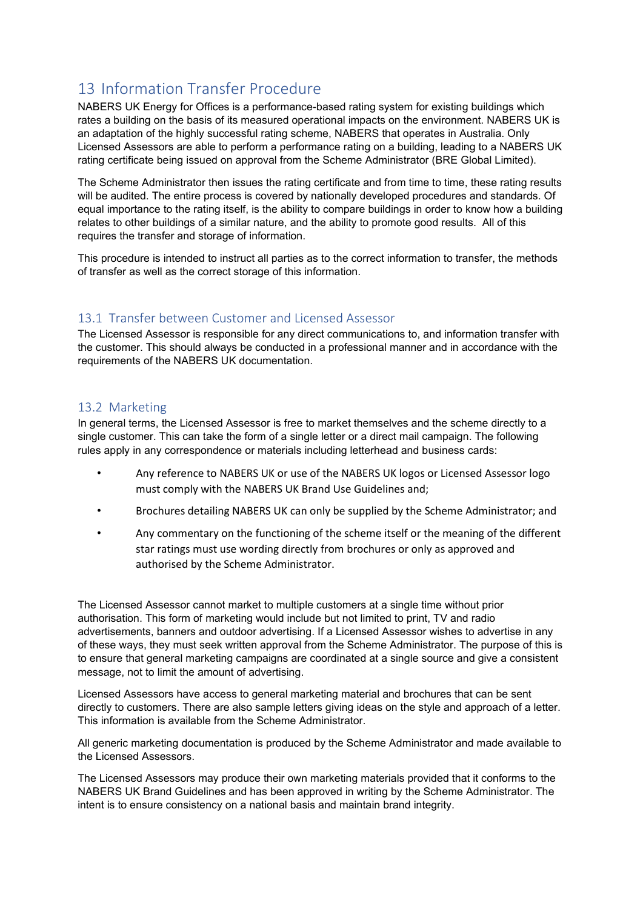# 13 Information Transfer Procedure

NABERS UK Energy for Offices is a performance-based rating system for existing buildings which rates a building on the basis of its measured operational impacts on the environment. NABERS UK is an adaptation of the highly successful rating scheme, NABERS that operates in Australia. Only Licensed Assessors are able to perform a performance rating on a building, leading to a NABERS UK rating certificate being issued on approval from the Scheme Administrator (BRE Global Limited).

The Scheme Administrator then issues the rating certificate and from time to time, these rating results will be audited. The entire process is covered by nationally developed procedures and standards. Of equal importance to the rating itself, is the ability to compare buildings in order to know how a building relates to other buildings of a similar nature, and the ability to promote good results. All of this requires the transfer and storage of information.

This procedure is intended to instruct all parties as to the correct information to transfer, the methods of transfer as well as the correct storage of this information.

# 13.1 Transfer between Customer and Licensed Assessor

The Licensed Assessor is responsible for any direct communications to, and information transfer with the customer. This should always be conducted in a professional manner and in accordance with the requirements of the NABERS UK documentation.

## 13.2 Marketing

In general terms, the Licensed Assessor is free to market themselves and the scheme directly to a single customer. This can take the form of a single letter or a direct mail campaign. The following rules apply in any correspondence or materials including letterhead and business cards:

- Any reference to NABERS UK or use of the NABERS UK logos or Licensed Assessor logo must comply with the NABERS UK Brand Use Guidelines and;
- Brochures detailing NABERS UK can only be supplied by the Scheme Administrator; and
- Any commentary on the functioning of the scheme itself or the meaning of the different star ratings must use wording directly from brochures or only as approved and authorised by the Scheme Administrator.

The Licensed Assessor cannot market to multiple customers at a single time without prior authorisation. This form of marketing would include but not limited to print, TV and radio advertisements, banners and outdoor advertising. If a Licensed Assessor wishes to advertise in any of these ways, they must seek written approval from the Scheme Administrator. The purpose of this is to ensure that general marketing campaigns are coordinated at a single source and give a consistent message, not to limit the amount of advertising.

Licensed Assessors have access to general marketing material and brochures that can be sent directly to customers. There are also sample letters giving ideas on the style and approach of a letter. This information is available from the Scheme Administrator.

All generic marketing documentation is produced by the Scheme Administrator and made available to the Licensed Assessors.

The Licensed Assessors may produce their own marketing materials provided that it conforms to the NABERS UK Brand Guidelines and has been approved in writing by the Scheme Administrator. The intent is to ensure consistency on a national basis and maintain brand integrity.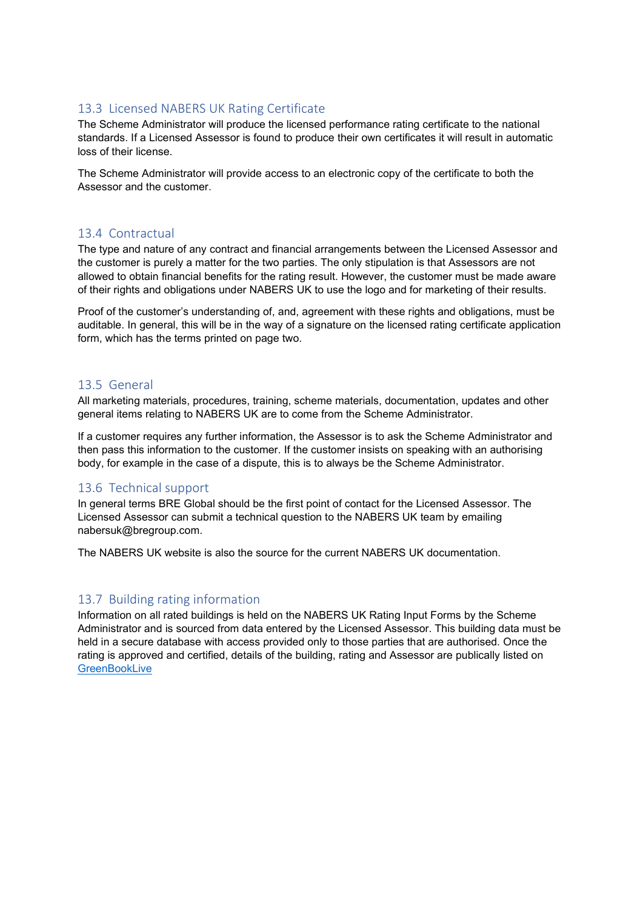## 13.3 Licensed NABERS UK Rating Certificate

The Scheme Administrator will produce the licensed performance rating certificate to the national standards. If a Licensed Assessor is found to produce their own certificates it will result in automatic loss of their license.

The Scheme Administrator will provide access to an electronic copy of the certificate to both the Assessor and the customer.

#### 13.4 Contractual

The type and nature of any contract and financial arrangements between the Licensed Assessor and the customer is purely a matter for the two parties. The only stipulation is that Assessors are not allowed to obtain financial benefits for the rating result. However, the customer must be made aware of their rights and obligations under NABERS UK to use the logo and for marketing of their results.

Proof of the customer's understanding of, and, agreement with these rights and obligations, must be auditable. In general, this will be in the way of a signature on the licensed rating certificate application form, which has the terms printed on page two.

#### 13.5 General

All marketing materials, procedures, training, scheme materials, documentation, updates and other general items relating to NABERS UK are to come from the Scheme Administrator.

If a customer requires any further information, the Assessor is to ask the Scheme Administrator and then pass this information to the customer. If the customer insists on speaking with an authorising body, for example in the case of a dispute, this is to always be the Scheme Administrator.

## 13.6 Technical support

In general terms BRE Global should be the first point of contact for the Licensed Assessor. The Licensed Assessor can submit a technical question to the NABERS UK team by emailing nabersuk@bregroup.com.

The NABERS UK website is also the source for the current NABERS UK documentation.

## 13.7 Building rating information

Information on all rated buildings is held on the NABERS UK Rating Input Forms by the Scheme Administrator and is sourced from data entered by the Licensed Assessor. This building data must be held in a secure database with access provided only to those parties that are authorised. Once the rating is approved and certified, details of the building, rating and Assessor are publically listed on **[GreenBookLive](https://www.greenbooklive.com/)**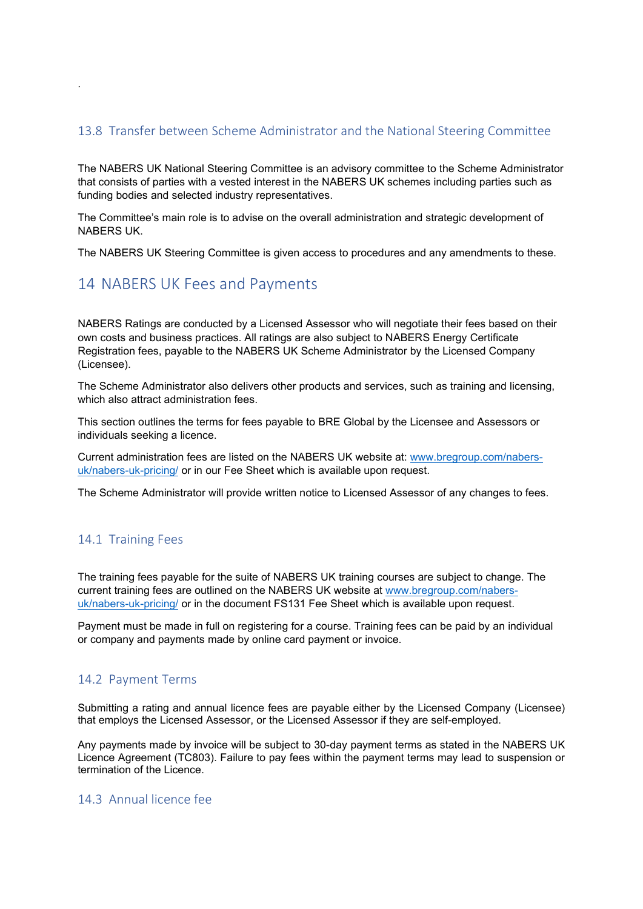## 13.8 Transfer between Scheme Administrator and the National Steering Committee

The NABERS UK National Steering Committee is an advisory committee to the Scheme Administrator that consists of parties with a vested interest in the NABERS UK schemes including parties such as funding bodies and selected industry representatives.

The Committee's main role is to advise on the overall administration and strategic development of NABERS UK.

The NABERS UK Steering Committee is given access to procedures and any amendments to these.

# 14 NABERS UK Fees and Payments

NABERS Ratings are conducted by a Licensed Assessor who will negotiate their fees based on their own costs and business practices. All ratings are also subject to NABERS Energy Certificate Registration fees, payable to the NABERS UK Scheme Administrator by the Licensed Company (Licensee).

The Scheme Administrator also delivers other products and services, such as training and licensing, which also attract administration fees.

This section outlines the terms for fees payable to BRE Global by the Licensee and Assessors or individuals seeking a licence.

Current administration fees are listed on the NABERS UK website at: [www.bregroup.com/nabers](http://www.bregroup.com/nabers-uk/nabers-uk-pricing/)[uk/nabers-uk-pricing/](http://www.bregroup.com/nabers-uk/nabers-uk-pricing/) or in our Fee Sheet which is available upon request.

The Scheme Administrator will provide written notice to Licensed Assessor of any changes to fees.

## 14.1 Training Fees

.

The training fees payable for the suite of NABERS UK training courses are subject to change. The current training fees are outlined on the NABERS UK website at [www.bregroup.com/nabers](http://www.bregroup.com/nabers-uk/nabers-uk-pricing/)[uk/nabers-uk-pricing/](http://www.bregroup.com/nabers-uk/nabers-uk-pricing/) or in the document FS131 Fee Sheet which is available upon request.

Payment must be made in full on registering for a course. Training fees can be paid by an individual or company and payments made by online card payment or invoice.

## 14.2 Payment Terms

Submitting a rating and annual licence fees are payable either by the Licensed Company (Licensee) that employs the Licensed Assessor, or the Licensed Assessor if they are self-employed.

Any payments made by invoice will be subject to 30-day payment terms as stated in the NABERS UK Licence Agreement (TC803). Failure to pay fees within the payment terms may lead to suspension or termination of the Licence.

## 14.3 Annual licence fee